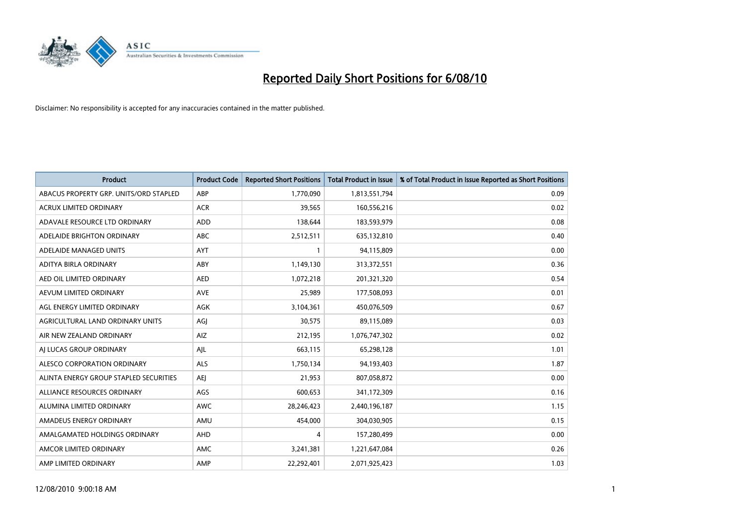

| <b>Product</b>                         | <b>Product Code</b> | <b>Reported Short Positions</b> | <b>Total Product in Issue</b> | % of Total Product in Issue Reported as Short Positions |
|----------------------------------------|---------------------|---------------------------------|-------------------------------|---------------------------------------------------------|
| ABACUS PROPERTY GRP. UNITS/ORD STAPLED | ABP                 | 1,770,090                       | 1,813,551,794                 | 0.09                                                    |
| ACRUX LIMITED ORDINARY                 | <b>ACR</b>          | 39,565                          | 160,556,216                   | 0.02                                                    |
| ADAVALE RESOURCE LTD ORDINARY          | ADD                 | 138,644                         | 183,593,979                   | 0.08                                                    |
| ADELAIDE BRIGHTON ORDINARY             | <b>ABC</b>          | 2,512,511                       | 635,132,810                   | 0.40                                                    |
| ADELAIDE MANAGED UNITS                 | <b>AYT</b>          |                                 | 94,115,809                    | 0.00                                                    |
| ADITYA BIRLA ORDINARY                  | ABY                 | 1,149,130                       | 313,372,551                   | 0.36                                                    |
| AED OIL LIMITED ORDINARY               | <b>AED</b>          | 1,072,218                       | 201,321,320                   | 0.54                                                    |
| AEVUM LIMITED ORDINARY                 | <b>AVE</b>          | 25,989                          | 177,508,093                   | 0.01                                                    |
| AGL ENERGY LIMITED ORDINARY            | <b>AGK</b>          | 3,104,361                       | 450,076,509                   | 0.67                                                    |
| AGRICULTURAL LAND ORDINARY UNITS       | AGI                 | 30,575                          | 89,115,089                    | 0.03                                                    |
| AIR NEW ZEALAND ORDINARY               | AIZ                 | 212,195                         | 1,076,747,302                 | 0.02                                                    |
| AI LUCAS GROUP ORDINARY                | AJL                 | 663,115                         | 65,298,128                    | 1.01                                                    |
| ALESCO CORPORATION ORDINARY            | ALS                 | 1,750,134                       | 94,193,403                    | 1.87                                                    |
| ALINTA ENERGY GROUP STAPLED SECURITIES | <b>AEI</b>          | 21,953                          | 807,058,872                   | 0.00                                                    |
| ALLIANCE RESOURCES ORDINARY            | AGS                 | 600,653                         | 341,172,309                   | 0.16                                                    |
| ALUMINA LIMITED ORDINARY               | <b>AWC</b>          | 28,246,423                      | 2,440,196,187                 | 1.15                                                    |
| AMADEUS ENERGY ORDINARY                | AMU                 | 454,000                         | 304,030,905                   | 0.15                                                    |
| AMALGAMATED HOLDINGS ORDINARY          | AHD                 | 4                               | 157,280,499                   | 0.00                                                    |
| AMCOR LIMITED ORDINARY                 | AMC                 | 3,241,381                       | 1,221,647,084                 | 0.26                                                    |
| AMP LIMITED ORDINARY                   | AMP                 | 22,292,401                      | 2,071,925,423                 | 1.03                                                    |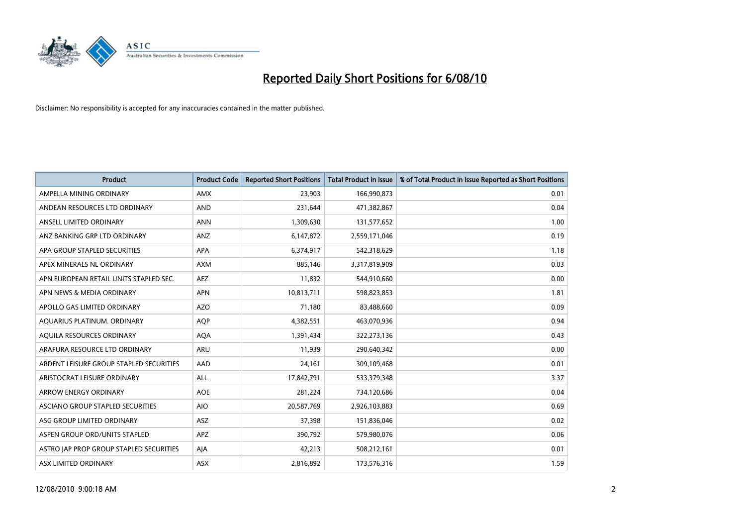

| <b>Product</b>                          | <b>Product Code</b> | <b>Reported Short Positions</b> | <b>Total Product in Issue</b> | % of Total Product in Issue Reported as Short Positions |
|-----------------------------------------|---------------------|---------------------------------|-------------------------------|---------------------------------------------------------|
| AMPELLA MINING ORDINARY                 | <b>AMX</b>          | 23.903                          | 166,990,873                   | 0.01                                                    |
| ANDEAN RESOURCES LTD ORDINARY           | <b>AND</b>          | 231,644                         | 471,382,867                   | 0.04                                                    |
| ANSELL LIMITED ORDINARY                 | <b>ANN</b>          | 1,309,630                       | 131,577,652                   | 1.00                                                    |
| ANZ BANKING GRP LTD ORDINARY            | <b>ANZ</b>          | 6,147,872                       | 2,559,171,046                 | 0.19                                                    |
| APA GROUP STAPLED SECURITIES            | <b>APA</b>          | 6,374,917                       | 542,318,629                   | 1.18                                                    |
| APEX MINERALS NL ORDINARY               | <b>AXM</b>          | 885,146                         | 3,317,819,909                 | 0.03                                                    |
| APN EUROPEAN RETAIL UNITS STAPLED SEC.  | <b>AEZ</b>          | 11,832                          | 544,910,660                   | 0.00                                                    |
| APN NEWS & MEDIA ORDINARY               | <b>APN</b>          | 10,813,711                      | 598,823,853                   | 1.81                                                    |
| APOLLO GAS LIMITED ORDINARY             | <b>AZO</b>          | 71,180                          | 83,488,660                    | 0.09                                                    |
| AOUARIUS PLATINUM. ORDINARY             | <b>AOP</b>          | 4,382,551                       | 463,070,936                   | 0.94                                                    |
| AQUILA RESOURCES ORDINARY               | <b>AQA</b>          | 1,391,434                       | 322,273,136                   | 0.43                                                    |
| ARAFURA RESOURCE LTD ORDINARY           | ARU                 | 11,939                          | 290,640,342                   | 0.00                                                    |
| ARDENT LEISURE GROUP STAPLED SECURITIES | AAD                 | 24,161                          | 309,109,468                   | 0.01                                                    |
| ARISTOCRAT LEISURE ORDINARY             | ALL                 | 17,842,791                      | 533,379,348                   | 3.37                                                    |
| <b>ARROW ENERGY ORDINARY</b>            | <b>AOE</b>          | 281,224                         | 734,120,686                   | 0.04                                                    |
| ASCIANO GROUP STAPLED SECURITIES        | <b>AIO</b>          | 20,587,769                      | 2,926,103,883                 | 0.69                                                    |
| ASG GROUP LIMITED ORDINARY              | <b>ASZ</b>          | 37,398                          | 151,836,046                   | 0.02                                                    |
| ASPEN GROUP ORD/UNITS STAPLED           | <b>APZ</b>          | 390,792                         | 579,980,076                   | 0.06                                                    |
| ASTRO JAP PROP GROUP STAPLED SECURITIES | AJA                 | 42,213                          | 508,212,161                   | 0.01                                                    |
| ASX LIMITED ORDINARY                    | <b>ASX</b>          | 2,816,892                       | 173,576,316                   | 1.59                                                    |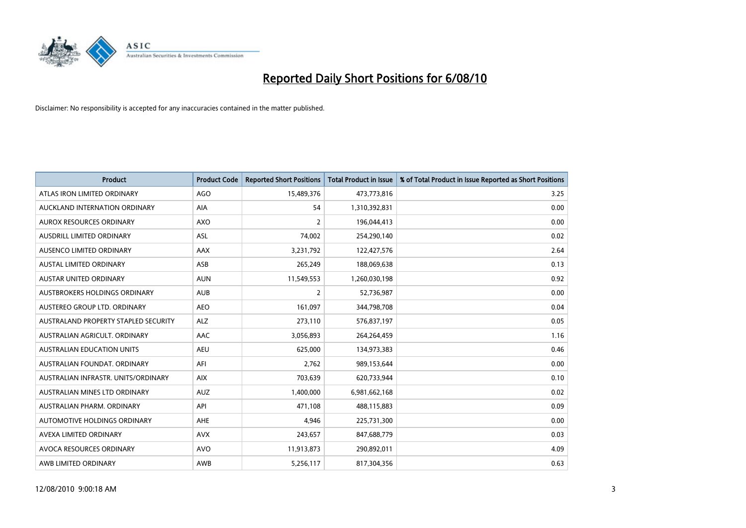

| <b>Product</b>                       | <b>Product Code</b> | <b>Reported Short Positions</b> | <b>Total Product in Issue</b> | % of Total Product in Issue Reported as Short Positions |
|--------------------------------------|---------------------|---------------------------------|-------------------------------|---------------------------------------------------------|
| ATLAS IRON LIMITED ORDINARY          | <b>AGO</b>          | 15,489,376                      | 473,773,816                   | 3.25                                                    |
| AUCKLAND INTERNATION ORDINARY        | <b>AIA</b>          | 54                              | 1,310,392,831                 | 0.00                                                    |
| AUROX RESOURCES ORDINARY             | AXO                 | 2                               | 196,044,413                   | 0.00                                                    |
| AUSDRILL LIMITED ORDINARY            | ASL                 | 74,002                          | 254,290,140                   | 0.02                                                    |
| AUSENCO LIMITED ORDINARY             | <b>AAX</b>          | 3,231,792                       | 122,427,576                   | 2.64                                                    |
| <b>AUSTAL LIMITED ORDINARY</b>       | ASB                 | 265,249                         | 188,069,638                   | 0.13                                                    |
| AUSTAR UNITED ORDINARY               | <b>AUN</b>          | 11,549,553                      | 1,260,030,198                 | 0.92                                                    |
| AUSTBROKERS HOLDINGS ORDINARY        | <b>AUB</b>          | $\overline{2}$                  | 52,736,987                    | 0.00                                                    |
| AUSTEREO GROUP LTD. ORDINARY         | <b>AEO</b>          | 161,097                         | 344,798,708                   | 0.04                                                    |
| AUSTRALAND PROPERTY STAPLED SECURITY | <b>ALZ</b>          | 273,110                         | 576,837,197                   | 0.05                                                    |
| AUSTRALIAN AGRICULT. ORDINARY        | <b>AAC</b>          | 3,056,893                       | 264,264,459                   | 1.16                                                    |
| AUSTRALIAN EDUCATION UNITS           | <b>AEU</b>          | 625,000                         | 134,973,383                   | 0.46                                                    |
| AUSTRALIAN FOUNDAT. ORDINARY         | AFI                 | 2,762                           | 989,153,644                   | 0.00                                                    |
| AUSTRALIAN INFRASTR, UNITS/ORDINARY  | <b>AIX</b>          | 703,639                         | 620,733,944                   | 0.10                                                    |
| AUSTRALIAN MINES LTD ORDINARY        | <b>AUZ</b>          | 1,400,000                       | 6,981,662,168                 | 0.02                                                    |
| AUSTRALIAN PHARM, ORDINARY           | API                 | 471,108                         | 488,115,883                   | 0.09                                                    |
| AUTOMOTIVE HOLDINGS ORDINARY         | <b>AHE</b>          | 4,946                           | 225,731,300                   | 0.00                                                    |
| AVEXA LIMITED ORDINARY               | <b>AVX</b>          | 243,657                         | 847,688,779                   | 0.03                                                    |
| AVOCA RESOURCES ORDINARY             | <b>AVO</b>          | 11,913,873                      | 290,892,011                   | 4.09                                                    |
| AWB LIMITED ORDINARY                 | <b>AWB</b>          | 5,256,117                       | 817,304,356                   | 0.63                                                    |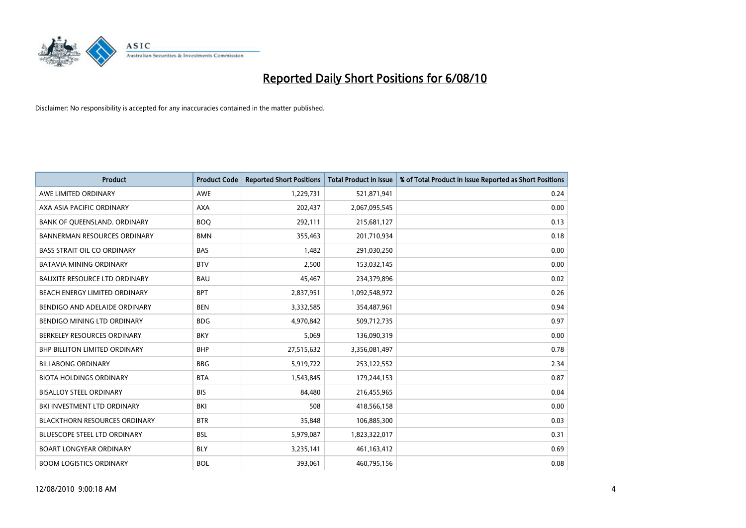

| <b>Product</b>                       | <b>Product Code</b> | <b>Reported Short Positions</b> | <b>Total Product in Issue</b> | % of Total Product in Issue Reported as Short Positions |
|--------------------------------------|---------------------|---------------------------------|-------------------------------|---------------------------------------------------------|
| AWE LIMITED ORDINARY                 | <b>AWE</b>          | 1,229,731                       | 521,871,941                   | 0.24                                                    |
| AXA ASIA PACIFIC ORDINARY            | <b>AXA</b>          | 202,437                         | 2,067,095,545                 | 0.00                                                    |
| BANK OF QUEENSLAND. ORDINARY         | <b>BOO</b>          | 292,111                         | 215,681,127                   | 0.13                                                    |
| <b>BANNERMAN RESOURCES ORDINARY</b>  | <b>BMN</b>          | 355,463                         | 201,710,934                   | 0.18                                                    |
| <b>BASS STRAIT OIL CO ORDINARY</b>   | <b>BAS</b>          | 1,482                           | 291,030,250                   | 0.00                                                    |
| <b>BATAVIA MINING ORDINARY</b>       | <b>BTV</b>          | 2,500                           | 153,032,145                   | 0.00                                                    |
| <b>BAUXITE RESOURCE LTD ORDINARY</b> | <b>BAU</b>          | 45,467                          | 234,379,896                   | 0.02                                                    |
| BEACH ENERGY LIMITED ORDINARY        | <b>BPT</b>          | 2,837,951                       | 1,092,548,972                 | 0.26                                                    |
| BENDIGO AND ADELAIDE ORDINARY        | <b>BEN</b>          | 3,332,585                       | 354,487,961                   | 0.94                                                    |
| <b>BENDIGO MINING LTD ORDINARY</b>   | <b>BDG</b>          | 4,970,842                       | 509,712,735                   | 0.97                                                    |
| BERKELEY RESOURCES ORDINARY          | <b>BKY</b>          | 5,069                           | 136,090,319                   | 0.00                                                    |
| <b>BHP BILLITON LIMITED ORDINARY</b> | <b>BHP</b>          | 27,515,632                      | 3,356,081,497                 | 0.78                                                    |
| <b>BILLABONG ORDINARY</b>            | <b>BBG</b>          | 5,919,722                       | 253,122,552                   | 2.34                                                    |
| <b>BIOTA HOLDINGS ORDINARY</b>       | <b>BTA</b>          | 1,543,845                       | 179,244,153                   | 0.87                                                    |
| <b>BISALLOY STEEL ORDINARY</b>       | <b>BIS</b>          | 84,480                          | 216,455,965                   | 0.04                                                    |
| BKI INVESTMENT LTD ORDINARY          | BKI                 | 508                             | 418,566,158                   | 0.00                                                    |
| <b>BLACKTHORN RESOURCES ORDINARY</b> | <b>BTR</b>          | 35,848                          | 106,885,300                   | 0.03                                                    |
| BLUESCOPE STEEL LTD ORDINARY         | <b>BSL</b>          | 5,979,087                       | 1,823,322,017                 | 0.31                                                    |
| <b>BOART LONGYEAR ORDINARY</b>       | <b>BLY</b>          | 3,235,141                       | 461,163,412                   | 0.69                                                    |
| <b>BOOM LOGISTICS ORDINARY</b>       | <b>BOL</b>          | 393.061                         | 460,795,156                   | 0.08                                                    |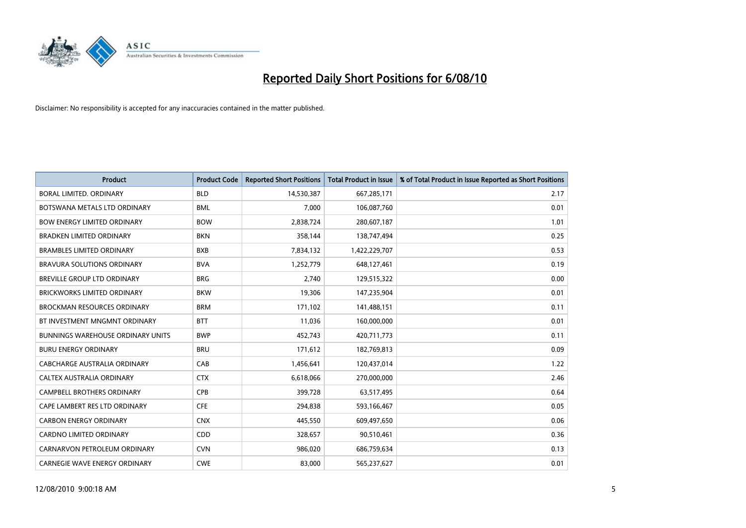

| <b>Product</b>                           | <b>Product Code</b> | <b>Reported Short Positions</b> | Total Product in Issue | % of Total Product in Issue Reported as Short Positions |
|------------------------------------------|---------------------|---------------------------------|------------------------|---------------------------------------------------------|
| <b>BORAL LIMITED, ORDINARY</b>           | <b>BLD</b>          | 14,530,387                      | 667,285,171            | 2.17                                                    |
| BOTSWANA METALS LTD ORDINARY             | <b>BML</b>          | 7,000                           | 106,087,760            | 0.01                                                    |
| <b>BOW ENERGY LIMITED ORDINARY</b>       | <b>BOW</b>          | 2,838,724                       | 280,607,187            | 1.01                                                    |
| <b>BRADKEN LIMITED ORDINARY</b>          | <b>BKN</b>          | 358,144                         | 138,747,494            | 0.25                                                    |
| <b>BRAMBLES LIMITED ORDINARY</b>         | <b>BXB</b>          | 7,834,132                       | 1,422,229,707          | 0.53                                                    |
| <b>BRAVURA SOLUTIONS ORDINARY</b>        | <b>BVA</b>          | 1,252,779                       | 648,127,461            | 0.19                                                    |
| <b>BREVILLE GROUP LTD ORDINARY</b>       | <b>BRG</b>          | 2,740                           | 129,515,322            | 0.00                                                    |
| <b>BRICKWORKS LIMITED ORDINARY</b>       | <b>BKW</b>          | 19,306                          | 147,235,904            | 0.01                                                    |
| <b>BROCKMAN RESOURCES ORDINARY</b>       | <b>BRM</b>          | 171,102                         | 141,488,151            | 0.11                                                    |
| BT INVESTMENT MNGMNT ORDINARY            | <b>BTT</b>          | 11,036                          | 160,000,000            | 0.01                                                    |
| <b>BUNNINGS WAREHOUSE ORDINARY UNITS</b> | <b>BWP</b>          | 452,743                         | 420,711,773            | 0.11                                                    |
| <b>BURU ENERGY ORDINARY</b>              | <b>BRU</b>          | 171,612                         | 182,769,813            | 0.09                                                    |
| CABCHARGE AUSTRALIA ORDINARY             | CAB                 | 1,456,641                       | 120,437,014            | 1.22                                                    |
| CALTEX AUSTRALIA ORDINARY                | <b>CTX</b>          | 6,618,066                       | 270,000,000            | 2.46                                                    |
| <b>CAMPBELL BROTHERS ORDINARY</b>        | CPB                 | 399,728                         | 63,517,495             | 0.64                                                    |
| CAPE LAMBERT RES LTD ORDINARY            | <b>CFE</b>          | 294,838                         | 593,166,467            | 0.05                                                    |
| <b>CARBON ENERGY ORDINARY</b>            | <b>CNX</b>          | 445,550                         | 609,497,650            | 0.06                                                    |
| CARDNO LIMITED ORDINARY                  | CDD                 | 328,657                         | 90,510,461             | 0.36                                                    |
| CARNARVON PETROLEUM ORDINARY             | <b>CVN</b>          | 986,020                         | 686,759,634            | 0.13                                                    |
| <b>CARNEGIE WAVE ENERGY ORDINARY</b>     | <b>CWE</b>          | 83,000                          | 565,237,627            | 0.01                                                    |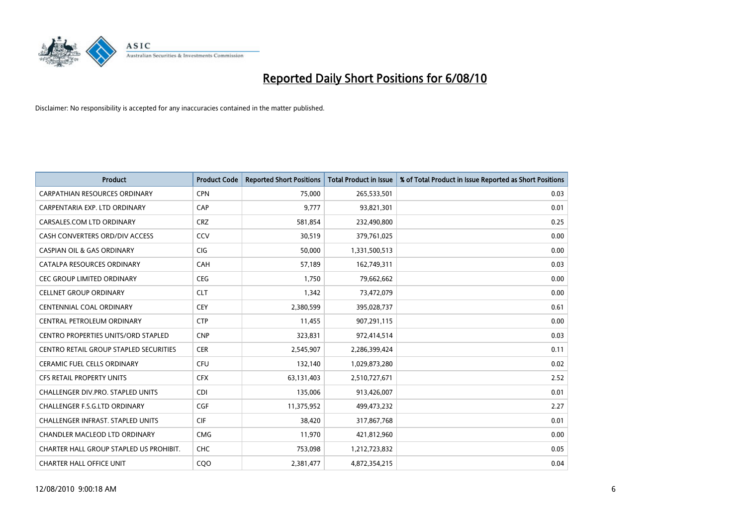

| <b>Product</b>                                | <b>Product Code</b> | <b>Reported Short Positions</b> | <b>Total Product in Issue</b> | % of Total Product in Issue Reported as Short Positions |
|-----------------------------------------------|---------------------|---------------------------------|-------------------------------|---------------------------------------------------------|
| <b>CARPATHIAN RESOURCES ORDINARY</b>          | <b>CPN</b>          | 75.000                          | 265,533,501                   | 0.03                                                    |
| CARPENTARIA EXP. LTD ORDINARY                 | CAP                 | 9,777                           | 93,821,301                    | 0.01                                                    |
| CARSALES.COM LTD ORDINARY                     | <b>CRZ</b>          | 581,854                         | 232,490,800                   | 0.25                                                    |
| CASH CONVERTERS ORD/DIV ACCESS                | CCV                 | 30,519                          | 379,761,025                   | 0.00                                                    |
| <b>CASPIAN OIL &amp; GAS ORDINARY</b>         | <b>CIG</b>          | 50,000                          | 1,331,500,513                 | 0.00                                                    |
| CATALPA RESOURCES ORDINARY                    | CAH                 | 57,189                          | 162,749,311                   | 0.03                                                    |
| <b>CEC GROUP LIMITED ORDINARY</b>             | <b>CEG</b>          | 1,750                           | 79,662,662                    | 0.00                                                    |
| <b>CELLNET GROUP ORDINARY</b>                 | <b>CLT</b>          | 1,342                           | 73,472,079                    | 0.00                                                    |
| <b>CENTENNIAL COAL ORDINARY</b>               | <b>CEY</b>          | 2,380,599                       | 395,028,737                   | 0.61                                                    |
| CENTRAL PETROLEUM ORDINARY                    | <b>CTP</b>          | 11,455                          | 907,291,115                   | 0.00                                                    |
| <b>CENTRO PROPERTIES UNITS/ORD STAPLED</b>    | <b>CNP</b>          | 323,831                         | 972,414,514                   | 0.03                                                    |
| <b>CENTRO RETAIL GROUP STAPLED SECURITIES</b> | <b>CER</b>          | 2,545,907                       | 2,286,399,424                 | 0.11                                                    |
| <b>CERAMIC FUEL CELLS ORDINARY</b>            | <b>CFU</b>          | 132,140                         | 1,029,873,280                 | 0.02                                                    |
| <b>CFS RETAIL PROPERTY UNITS</b>              | <b>CFX</b>          | 63,131,403                      | 2,510,727,671                 | 2.52                                                    |
| <b>CHALLENGER DIV.PRO. STAPLED UNITS</b>      | <b>CDI</b>          | 135,006                         | 913,426,007                   | 0.01                                                    |
| CHALLENGER F.S.G.LTD ORDINARY                 | CGF                 | 11,375,952                      | 499,473,232                   | 2.27                                                    |
| CHALLENGER INFRAST. STAPLED UNITS             | <b>CIF</b>          | 38,420                          | 317,867,768                   | 0.01                                                    |
| CHANDLER MACLEOD LTD ORDINARY                 | <b>CMG</b>          | 11,970                          | 421,812,960                   | 0.00                                                    |
| CHARTER HALL GROUP STAPLED US PROHIBIT.       | <b>CHC</b>          | 753,098                         | 1,212,723,832                 | 0.05                                                    |
| <b>CHARTER HALL OFFICE UNIT</b>               | COO                 | 2,381,477                       | 4,872,354,215                 | 0.04                                                    |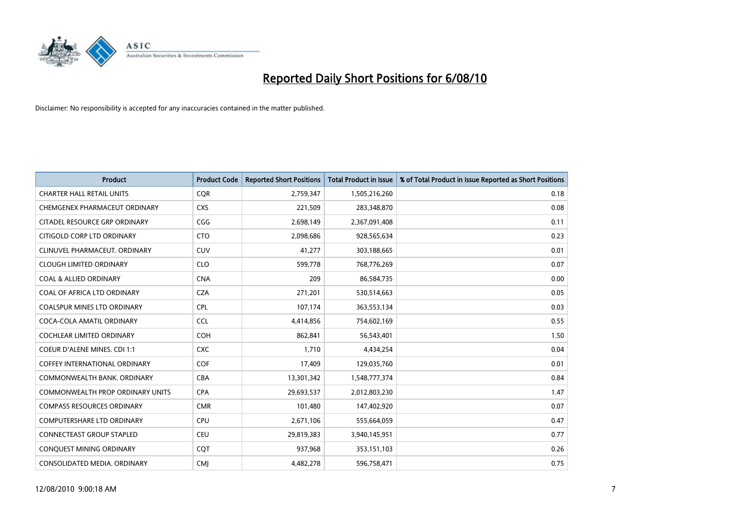

| <b>Product</b>                       | <b>Product Code</b> | <b>Reported Short Positions</b> | <b>Total Product in Issue</b> | % of Total Product in Issue Reported as Short Positions |
|--------------------------------------|---------------------|---------------------------------|-------------------------------|---------------------------------------------------------|
| <b>CHARTER HALL RETAIL UNITS</b>     | <b>CQR</b>          | 2,759,347                       | 1,505,216,260                 | 0.18                                                    |
| CHEMGENEX PHARMACEUT ORDINARY        | <b>CXS</b>          | 221,509                         | 283,348,870                   | 0.08                                                    |
| CITADEL RESOURCE GRP ORDINARY        | CGG                 | 2,698,149                       | 2,367,091,408                 | 0.11                                                    |
| CITIGOLD CORP LTD ORDINARY           | <b>CTO</b>          | 2,098,686                       | 928,565,634                   | 0.23                                                    |
| CLINUVEL PHARMACEUT, ORDINARY        | <b>CUV</b>          | 41,277                          | 303,188,665                   | 0.01                                                    |
| <b>CLOUGH LIMITED ORDINARY</b>       | <b>CLO</b>          | 599,778                         | 768,776,269                   | 0.07                                                    |
| <b>COAL &amp; ALLIED ORDINARY</b>    | <b>CNA</b>          | 209                             | 86,584,735                    | 0.00                                                    |
| COAL OF AFRICA LTD ORDINARY          | <b>CZA</b>          | 271,201                         | 530,514,663                   | 0.05                                                    |
| COALSPUR MINES LTD ORDINARY          | <b>CPL</b>          | 107,174                         | 363,553,134                   | 0.03                                                    |
| COCA-COLA AMATIL ORDINARY            | <b>CCL</b>          | 4,414,856                       | 754,602,169                   | 0.55                                                    |
| <b>COCHLEAR LIMITED ORDINARY</b>     | COH                 | 862,841                         | 56,543,401                    | 1.50                                                    |
| COEUR D'ALENE MINES. CDI 1:1         | <b>CXC</b>          | 1,710                           | 4,434,254                     | 0.04                                                    |
| <b>COFFEY INTERNATIONAL ORDINARY</b> | <b>COF</b>          | 17,409                          | 129,035,760                   | 0.01                                                    |
| COMMONWEALTH BANK, ORDINARY          | <b>CBA</b>          | 13,301,342                      | 1,548,777,374                 | 0.84                                                    |
| COMMONWEALTH PROP ORDINARY UNITS     | <b>CPA</b>          | 29,693,537                      | 2,012,803,230                 | 1.47                                                    |
| <b>COMPASS RESOURCES ORDINARY</b>    | <b>CMR</b>          | 101,480                         | 147,402,920                   | 0.07                                                    |
| <b>COMPUTERSHARE LTD ORDINARY</b>    | <b>CPU</b>          | 2,671,106                       | 555,664,059                   | 0.47                                                    |
| CONNECTEAST GROUP STAPLED            | CEU                 | 29,819,383                      | 3,940,145,951                 | 0.77                                                    |
| CONQUEST MINING ORDINARY             | COT                 | 937,968                         | 353,151,103                   | 0.26                                                    |
| CONSOLIDATED MEDIA. ORDINARY         | <b>CMI</b>          | 4,482,278                       | 596,758,471                   | 0.75                                                    |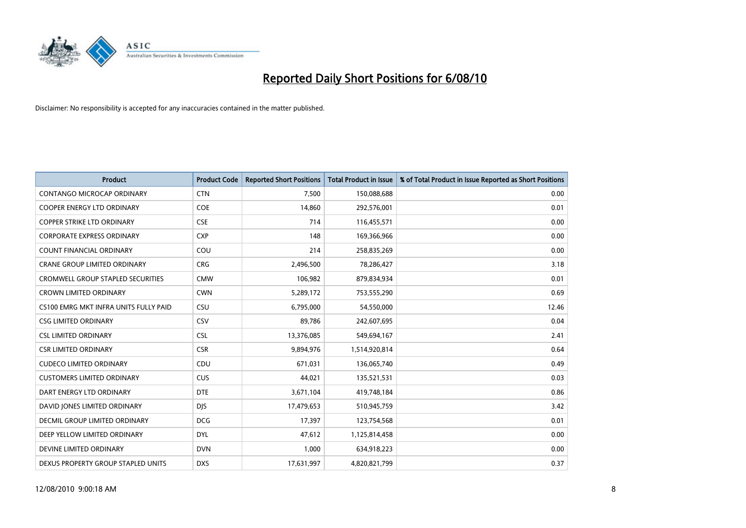

| <b>Product</b>                        | <b>Product Code</b> | <b>Reported Short Positions</b> | <b>Total Product in Issue</b> | % of Total Product in Issue Reported as Short Positions |
|---------------------------------------|---------------------|---------------------------------|-------------------------------|---------------------------------------------------------|
| <b>CONTANGO MICROCAP ORDINARY</b>     | <b>CTN</b>          | 7,500                           | 150,088,688                   | 0.00                                                    |
| <b>COOPER ENERGY LTD ORDINARY</b>     | <b>COE</b>          | 14,860                          | 292,576,001                   | 0.01                                                    |
| <b>COPPER STRIKE LTD ORDINARY</b>     | <b>CSE</b>          | 714                             | 116,455,571                   | 0.00                                                    |
| <b>CORPORATE EXPRESS ORDINARY</b>     | <b>CXP</b>          | 148                             | 169,366,966                   | 0.00                                                    |
| <b>COUNT FINANCIAL ORDINARY</b>       | COU                 | 214                             | 258,835,269                   | 0.00                                                    |
| <b>CRANE GROUP LIMITED ORDINARY</b>   | <b>CRG</b>          | 2,496,500                       | 78,286,427                    | 3.18                                                    |
| CROMWELL GROUP STAPLED SECURITIES     | <b>CMW</b>          | 106,982                         | 879,834,934                   | 0.01                                                    |
| <b>CROWN LIMITED ORDINARY</b>         | <b>CWN</b>          | 5,289,172                       | 753,555,290                   | 0.69                                                    |
| CS100 EMRG MKT INFRA UNITS FULLY PAID | CSU                 | 6,795,000                       | 54,550,000                    | 12.46                                                   |
| <b>CSG LIMITED ORDINARY</b>           | CSV                 | 89,786                          | 242,607,695                   | 0.04                                                    |
| <b>CSL LIMITED ORDINARY</b>           | <b>CSL</b>          | 13,376,085                      | 549,694,167                   | 2.41                                                    |
| <b>CSR LIMITED ORDINARY</b>           | <b>CSR</b>          | 9,894,976                       | 1,514,920,814                 | 0.64                                                    |
| <b>CUDECO LIMITED ORDINARY</b>        | CDU                 | 671,031                         | 136,065,740                   | 0.49                                                    |
| <b>CUSTOMERS LIMITED ORDINARY</b>     | <b>CUS</b>          | 44,021                          | 135,521,531                   | 0.03                                                    |
| DART ENERGY LTD ORDINARY              | <b>DTE</b>          | 3,671,104                       | 419,748,184                   | 0.86                                                    |
| DAVID JONES LIMITED ORDINARY          | <b>DJS</b>          | 17,479,653                      | 510,945,759                   | 3.42                                                    |
| DECMIL GROUP LIMITED ORDINARY         | <b>DCG</b>          | 17,397                          | 123,754,568                   | 0.01                                                    |
| DEEP YELLOW LIMITED ORDINARY          | <b>DYL</b>          | 47,612                          | 1,125,814,458                 | 0.00                                                    |
| DEVINE LIMITED ORDINARY               | <b>DVN</b>          | 1,000                           | 634,918,223                   | 0.00                                                    |
| DEXUS PROPERTY GROUP STAPLED UNITS    | <b>DXS</b>          | 17,631,997                      | 4,820,821,799                 | 0.37                                                    |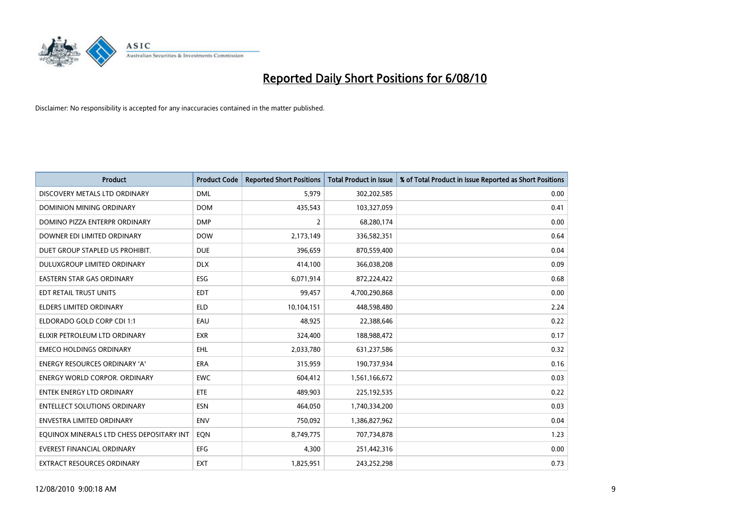

| <b>Product</b>                            | <b>Product Code</b> | <b>Reported Short Positions</b> | Total Product in Issue | % of Total Product in Issue Reported as Short Positions |
|-------------------------------------------|---------------------|---------------------------------|------------------------|---------------------------------------------------------|
| DISCOVERY METALS LTD ORDINARY             | <b>DML</b>          | 5,979                           | 302,202,585            | 0.00                                                    |
| <b>DOMINION MINING ORDINARY</b>           | <b>DOM</b>          | 435,543                         | 103,327,059            | 0.41                                                    |
| DOMINO PIZZA ENTERPR ORDINARY             | <b>DMP</b>          | $\overline{2}$                  | 68,280,174             | 0.00                                                    |
| DOWNER EDI LIMITED ORDINARY               | <b>DOW</b>          | 2,173,149                       | 336,582,351            | 0.64                                                    |
| DUET GROUP STAPLED US PROHIBIT.           | <b>DUE</b>          | 396,659                         | 870,559,400            | 0.04                                                    |
| DULUXGROUP LIMITED ORDINARY               | <b>DLX</b>          | 414,100                         | 366,038,208            | 0.09                                                    |
| <b>EASTERN STAR GAS ORDINARY</b>          | ESG                 | 6,071,914                       | 872,224,422            | 0.68                                                    |
| EDT RETAIL TRUST UNITS                    | <b>EDT</b>          | 99.457                          | 4,700,290,868          | 0.00                                                    |
| <b>ELDERS LIMITED ORDINARY</b>            | <b>ELD</b>          | 10,104,151                      | 448,598,480            | 2.24                                                    |
| ELDORADO GOLD CORP CDI 1:1                | EAU                 | 48,925                          | 22,388,646             | 0.22                                                    |
| ELIXIR PETROLEUM LTD ORDINARY             | <b>EXR</b>          | 324,400                         | 188,988,472            | 0.17                                                    |
| <b>EMECO HOLDINGS ORDINARY</b>            | <b>EHL</b>          | 2,033,780                       | 631,237,586            | 0.32                                                    |
| ENERGY RESOURCES ORDINARY 'A'             | <b>ERA</b>          | 315,959                         | 190,737,934            | 0.16                                                    |
| <b>ENERGY WORLD CORPOR, ORDINARY</b>      | <b>EWC</b>          | 604,412                         | 1,561,166,672          | 0.03                                                    |
| <b>ENTEK ENERGY LTD ORDINARY</b>          | ETE                 | 489.903                         | 225,192,535            | 0.22                                                    |
| <b>ENTELLECT SOLUTIONS ORDINARY</b>       | <b>ESN</b>          | 464,050                         | 1,740,334,200          | 0.03                                                    |
| ENVESTRA LIMITED ORDINARY                 | <b>ENV</b>          | 750,092                         | 1,386,827,962          | 0.04                                                    |
| EQUINOX MINERALS LTD CHESS DEPOSITARY INT | EON                 | 8,749,775                       | 707,734,878            | 1.23                                                    |
| <b>EVEREST FINANCIAL ORDINARY</b>         | <b>EFG</b>          | 4,300                           | 251,442,316            | 0.00                                                    |
| EXTRACT RESOURCES ORDINARY                | <b>EXT</b>          | 1,825,951                       | 243,252,298            | 0.73                                                    |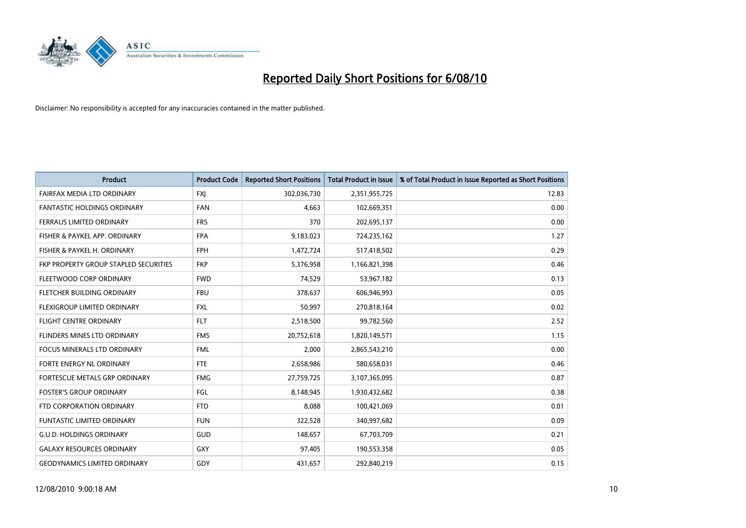

| <b>Product</b>                        | <b>Product Code</b> | <b>Reported Short Positions</b> | <b>Total Product in Issue</b> | % of Total Product in Issue Reported as Short Positions |
|---------------------------------------|---------------------|---------------------------------|-------------------------------|---------------------------------------------------------|
| FAIRFAX MEDIA LTD ORDINARY            | <b>FXJ</b>          | 302,036,730                     | 2,351,955,725                 | 12.83                                                   |
| <b>FANTASTIC HOLDINGS ORDINARY</b>    | <b>FAN</b>          | 4.663                           | 102,669,351                   | 0.00                                                    |
| <b>FERRAUS LIMITED ORDINARY</b>       | <b>FRS</b>          | 370                             | 202,695,137                   | 0.00                                                    |
| FISHER & PAYKEL APP. ORDINARY         | <b>FPA</b>          | 9,183,023                       | 724,235,162                   | 1.27                                                    |
| FISHER & PAYKEL H. ORDINARY           | <b>FPH</b>          | 1,472,724                       | 517,418,502                   | 0.29                                                    |
| FKP PROPERTY GROUP STAPLED SECURITIES | <b>FKP</b>          | 5,376,958                       | 1,166,821,398                 | 0.46                                                    |
| FLEETWOOD CORP ORDINARY               | <b>FWD</b>          | 74,529                          | 53,967,182                    | 0.13                                                    |
| FLETCHER BUILDING ORDINARY            | <b>FBU</b>          | 378,637                         | 606,946,993                   | 0.05                                                    |
| FLEXIGROUP LIMITED ORDINARY           | <b>FXL</b>          | 50,997                          | 270,818,164                   | 0.02                                                    |
| <b>FLIGHT CENTRE ORDINARY</b>         | <b>FLT</b>          | 2,518,500                       | 99,782,560                    | 2.52                                                    |
| FLINDERS MINES LTD ORDINARY           | <b>FMS</b>          | 20,752,618                      | 1,820,149,571                 | 1.15                                                    |
| <b>FOCUS MINERALS LTD ORDINARY</b>    | <b>FML</b>          | 2,000                           | 2,865,543,210                 | 0.00                                                    |
| FORTE ENERGY NL ORDINARY              | <b>FTE</b>          | 2,658,986                       | 580,658,031                   | 0.46                                                    |
| FORTESCUE METALS GRP ORDINARY         | <b>FMG</b>          | 27,759,725                      | 3,107,365,095                 | 0.87                                                    |
| <b>FOSTER'S GROUP ORDINARY</b>        | FGL                 | 8,148,945                       | 1,930,432,682                 | 0.38                                                    |
| FTD CORPORATION ORDINARY              | <b>FTD</b>          | 8,088                           | 100,421,069                   | 0.01                                                    |
| <b>FUNTASTIC LIMITED ORDINARY</b>     | <b>FUN</b>          | 322,528                         | 340,997,682                   | 0.09                                                    |
| <b>G.U.D. HOLDINGS ORDINARY</b>       | <b>GUD</b>          | 148,657                         | 67,703,709                    | 0.21                                                    |
| <b>GALAXY RESOURCES ORDINARY</b>      | <b>GXY</b>          | 97,405                          | 190,553,358                   | 0.05                                                    |
| <b>GEODYNAMICS LIMITED ORDINARY</b>   | GDY                 | 431,657                         | 292,840,219                   | 0.15                                                    |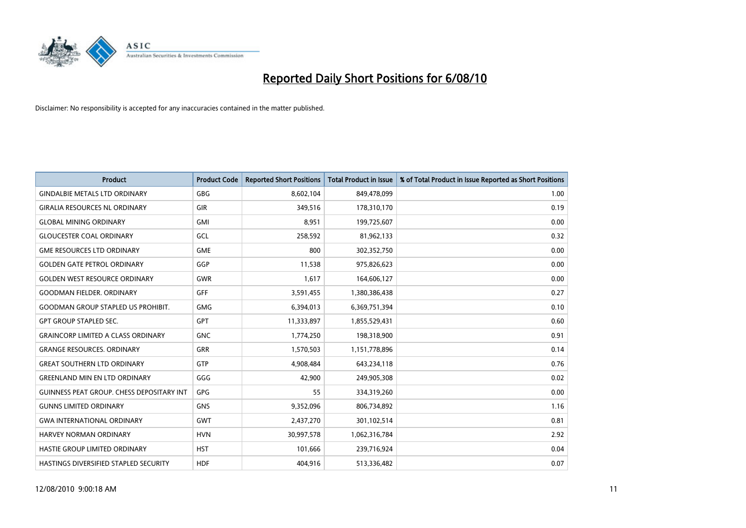

| <b>Product</b>                                   | <b>Product Code</b> | <b>Reported Short Positions</b> | Total Product in Issue | % of Total Product in Issue Reported as Short Positions |
|--------------------------------------------------|---------------------|---------------------------------|------------------------|---------------------------------------------------------|
| <b>GINDALBIE METALS LTD ORDINARY</b>             | <b>GBG</b>          | 8,602,104                       | 849,478,099            | 1.00                                                    |
| <b>GIRALIA RESOURCES NL ORDINARY</b>             | <b>GIR</b>          | 349,516                         | 178,310,170            | 0.19                                                    |
| <b>GLOBAL MINING ORDINARY</b>                    | <b>GMI</b>          | 8.951                           | 199,725,607            | 0.00                                                    |
| <b>GLOUCESTER COAL ORDINARY</b>                  | GCL                 | 258,592                         | 81,962,133             | 0.32                                                    |
| <b>GME RESOURCES LTD ORDINARY</b>                | <b>GME</b>          | 800                             | 302,352,750            | 0.00                                                    |
| <b>GOLDEN GATE PETROL ORDINARY</b>               | GGP                 | 11,538                          | 975,826,623            | 0.00                                                    |
| <b>GOLDEN WEST RESOURCE ORDINARY</b>             | <b>GWR</b>          | 1,617                           | 164,606,127            | 0.00                                                    |
| <b>GOODMAN FIELDER, ORDINARY</b>                 | <b>GFF</b>          | 3,591,455                       | 1,380,386,438          | 0.27                                                    |
| <b>GOODMAN GROUP STAPLED US PROHIBIT.</b>        | <b>GMG</b>          | 6,394,013                       | 6,369,751,394          | 0.10                                                    |
| <b>GPT GROUP STAPLED SEC.</b>                    | <b>GPT</b>          | 11,333,897                      | 1,855,529,431          | 0.60                                                    |
| <b>GRAINCORP LIMITED A CLASS ORDINARY</b>        | <b>GNC</b>          | 1,774,250                       | 198,318,900            | 0.91                                                    |
| <b>GRANGE RESOURCES, ORDINARY</b>                | <b>GRR</b>          | 1,570,503                       | 1,151,778,896          | 0.14                                                    |
| <b>GREAT SOUTHERN LTD ORDINARY</b>               | <b>GTP</b>          | 4,908,484                       | 643,234,118            | 0.76                                                    |
| <b>GREENLAND MIN EN LTD ORDINARY</b>             | GGG                 | 42,900                          | 249,905,308            | 0.02                                                    |
| <b>GUINNESS PEAT GROUP. CHESS DEPOSITARY INT</b> | GPG                 | 55                              | 334,319,260            | 0.00                                                    |
| <b>GUNNS LIMITED ORDINARY</b>                    | <b>GNS</b>          | 9,352,096                       | 806,734,892            | 1.16                                                    |
| <b>GWA INTERNATIONAL ORDINARY</b>                | <b>GWT</b>          | 2,437,270                       | 301,102,514            | 0.81                                                    |
| <b>HARVEY NORMAN ORDINARY</b>                    | <b>HVN</b>          | 30,997,578                      | 1,062,316,784          | 2.92                                                    |
| HASTIE GROUP LIMITED ORDINARY                    | <b>HST</b>          | 101,666                         | 239,716,924            | 0.04                                                    |
| HASTINGS DIVERSIFIED STAPLED SECURITY            | <b>HDF</b>          | 404.916                         | 513,336,482            | 0.07                                                    |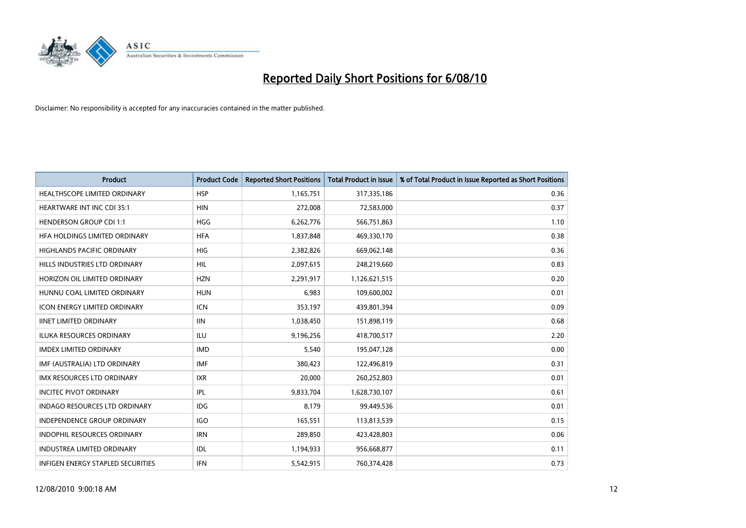

| <b>Product</b>                       | <b>Product Code</b> | <b>Reported Short Positions</b> | <b>Total Product in Issue</b> | % of Total Product in Issue Reported as Short Positions |
|--------------------------------------|---------------------|---------------------------------|-------------------------------|---------------------------------------------------------|
| <b>HEALTHSCOPE LIMITED ORDINARY</b>  | <b>HSP</b>          | 1,165,751                       | 317,335,186                   | 0.36                                                    |
| <b>HEARTWARE INT INC CDI 35:1</b>    | <b>HIN</b>          | 272,008                         | 72,583,000                    | 0.37                                                    |
| <b>HENDERSON GROUP CDI 1:1</b>       | <b>HGG</b>          | 6,262,776                       | 566,751,863                   | 1.10                                                    |
| HFA HOLDINGS LIMITED ORDINARY        | <b>HFA</b>          | 1,837,848                       | 469,330,170                   | 0.38                                                    |
| <b>HIGHLANDS PACIFIC ORDINARY</b>    | <b>HIG</b>          | 2,382,826                       | 669,062,148                   | 0.36                                                    |
| HILLS INDUSTRIES LTD ORDINARY        | <b>HIL</b>          | 2,097,615                       | 248,219,660                   | 0.83                                                    |
| HORIZON OIL LIMITED ORDINARY         | <b>HZN</b>          | 2,291,917                       | 1,126,621,515                 | 0.20                                                    |
| HUNNU COAL LIMITED ORDINARY          | <b>HUN</b>          | 6,983                           | 109,600,002                   | 0.01                                                    |
| <b>ICON ENERGY LIMITED ORDINARY</b>  | <b>ICN</b>          | 353,197                         | 439,801,394                   | 0.09                                                    |
| <b>IINET LIMITED ORDINARY</b>        | <b>IIN</b>          | 1,038,450                       | 151,898,119                   | 0.68                                                    |
| ILUKA RESOURCES ORDINARY             | ILU                 | 9,196,256                       | 418,700,517                   | 2.20                                                    |
| <b>IMDEX LIMITED ORDINARY</b>        | <b>IMD</b>          | 5,540                           | 195,047,128                   | 0.00                                                    |
| IMF (AUSTRALIA) LTD ORDINARY         | <b>IMF</b>          | 380,423                         | 122,496,819                   | 0.31                                                    |
| <b>IMX RESOURCES LTD ORDINARY</b>    | <b>IXR</b>          | 20,000                          | 260,252,803                   | 0.01                                                    |
| <b>INCITEC PIVOT ORDINARY</b>        | IPL                 | 9,833,704                       | 1,628,730,107                 | 0.61                                                    |
| <b>INDAGO RESOURCES LTD ORDINARY</b> | <b>IDG</b>          | 8,179                           | 99,449,536                    | 0.01                                                    |
| INDEPENDENCE GROUP ORDINARY          | <b>IGO</b>          | 165,551                         | 113,813,539                   | 0.15                                                    |
| INDOPHIL RESOURCES ORDINARY          | <b>IRN</b>          | 289,850                         | 423,428,803                   | 0.06                                                    |
| <b>INDUSTREA LIMITED ORDINARY</b>    | IDL                 | 1,194,933                       | 956,668,877                   | 0.11                                                    |
| INFIGEN ENERGY STAPLED SECURITIES    | <b>IFN</b>          | 5,542,915                       | 760,374,428                   | 0.73                                                    |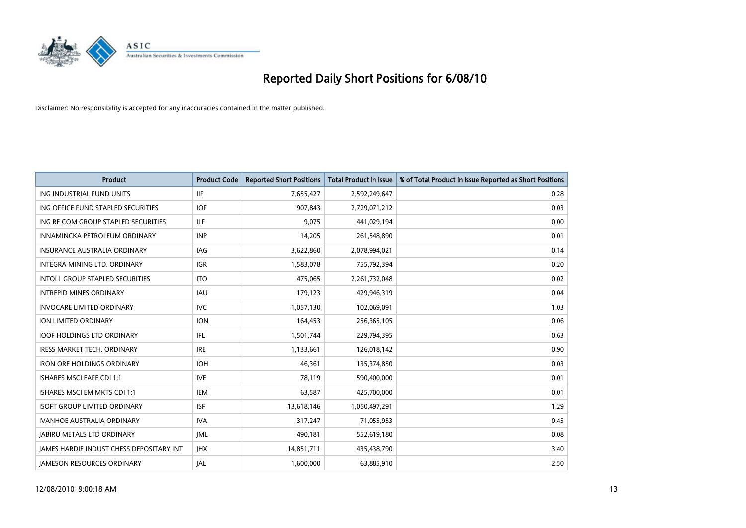

| <b>Product</b>                                  | <b>Product Code</b> | <b>Reported Short Positions</b> | <b>Total Product in Issue</b> | % of Total Product in Issue Reported as Short Positions |
|-------------------------------------------------|---------------------|---------------------------------|-------------------------------|---------------------------------------------------------|
| ING INDUSTRIAL FUND UNITS                       | <b>IIF</b>          | 7,655,427                       | 2,592,249,647                 | 0.28                                                    |
| ING OFFICE FUND STAPLED SECURITIES              | <b>IOF</b>          | 907,843                         | 2,729,071,212                 | 0.03                                                    |
| ING RE COM GROUP STAPLED SECURITIES             | ILF.                | 9.075                           | 441,029,194                   | 0.00                                                    |
| INNAMINCKA PETROLEUM ORDINARY                   | <b>INP</b>          | 14,205                          | 261,548,890                   | 0.01                                                    |
| <b>INSURANCE AUSTRALIA ORDINARY</b>             | <b>IAG</b>          | 3,622,860                       | 2,078,994,021                 | 0.14                                                    |
| INTEGRA MINING LTD, ORDINARY                    | <b>IGR</b>          | 1,583,078                       | 755,792,394                   | 0.20                                                    |
| <b>INTOLL GROUP STAPLED SECURITIES</b>          | <b>ITO</b>          | 475.065                         | 2,261,732,048                 | 0.02                                                    |
| <b>INTREPID MINES ORDINARY</b>                  | <b>IAU</b>          | 179,123                         | 429,946,319                   | 0.04                                                    |
| <b>INVOCARE LIMITED ORDINARY</b>                | <b>IVC</b>          | 1,057,130                       | 102,069,091                   | 1.03                                                    |
| <b>ION LIMITED ORDINARY</b>                     | <b>ION</b>          | 164,453                         | 256,365,105                   | 0.06                                                    |
| <b>IOOF HOLDINGS LTD ORDINARY</b>               | IFL.                | 1,501,744                       | 229,794,395                   | 0.63                                                    |
| <b>IRESS MARKET TECH. ORDINARY</b>              | <b>IRE</b>          | 1,133,661                       | 126,018,142                   | 0.90                                                    |
| <b>IRON ORE HOLDINGS ORDINARY</b>               | <b>IOH</b>          | 46.361                          | 135,374,850                   | 0.03                                                    |
| <b>ISHARES MSCI EAFE CDI 1:1</b>                | <b>IVE</b>          | 78,119                          | 590,400,000                   | 0.01                                                    |
| ISHARES MSCI EM MKTS CDI 1:1                    | <b>IEM</b>          | 63,587                          | 425,700,000                   | 0.01                                                    |
| <b>ISOFT GROUP LIMITED ORDINARY</b>             | <b>ISF</b>          | 13,618,146                      | 1,050,497,291                 | 1.29                                                    |
| <b>IVANHOE AUSTRALIA ORDINARY</b>               | <b>IVA</b>          | 317,247                         | 71,055,953                    | 0.45                                                    |
| <b>JABIRU METALS LTD ORDINARY</b>               | <b>JML</b>          | 490,181                         | 552,619,180                   | 0.08                                                    |
| <b>IAMES HARDIE INDUST CHESS DEPOSITARY INT</b> | <b>IHX</b>          | 14,851,711                      | 435,438,790                   | 3.40                                                    |
| <b>IAMESON RESOURCES ORDINARY</b>               | <b>JAL</b>          | 1,600,000                       | 63,885,910                    | 2.50                                                    |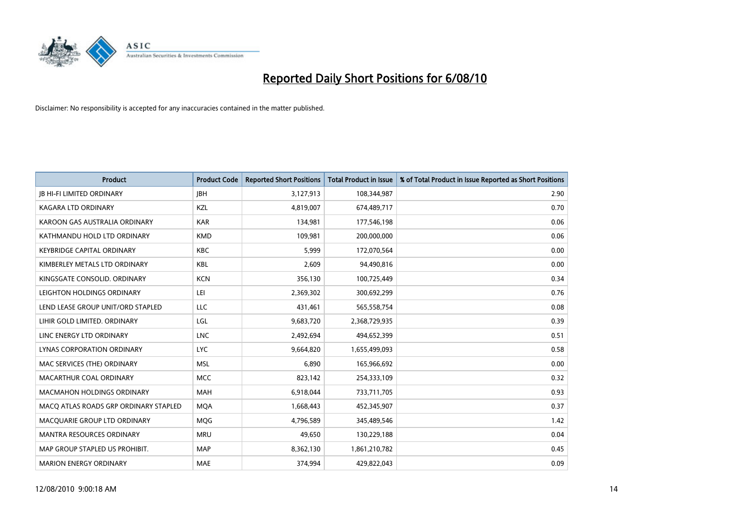

| <b>Product</b>                        | <b>Product Code</b> | <b>Reported Short Positions</b> | <b>Total Product in Issue</b> | % of Total Product in Issue Reported as Short Positions |
|---------------------------------------|---------------------|---------------------------------|-------------------------------|---------------------------------------------------------|
| <b>JB HI-FI LIMITED ORDINARY</b>      | <b>JBH</b>          | 3,127,913                       | 108,344,987                   | 2.90                                                    |
| KAGARA LTD ORDINARY                   | KZL                 | 4,819,007                       | 674,489,717                   | 0.70                                                    |
| KAROON GAS AUSTRALIA ORDINARY         | <b>KAR</b>          | 134,981                         | 177,546,198                   | 0.06                                                    |
| KATHMANDU HOLD LTD ORDINARY           | <b>KMD</b>          | 109,981                         | 200,000,000                   | 0.06                                                    |
| <b>KEYBRIDGE CAPITAL ORDINARY</b>     | <b>KBC</b>          | 5,999                           | 172,070,564                   | 0.00                                                    |
| KIMBERLEY METALS LTD ORDINARY         | <b>KBL</b>          | 2,609                           | 94,490,816                    | 0.00                                                    |
| KINGSGATE CONSOLID, ORDINARY          | <b>KCN</b>          | 356,130                         | 100,725,449                   | 0.34                                                    |
| LEIGHTON HOLDINGS ORDINARY            | LEI                 | 2,369,302                       | 300,692,299                   | 0.76                                                    |
| LEND LEASE GROUP UNIT/ORD STAPLED     | LLC                 | 431,461                         | 565,558,754                   | 0.08                                                    |
| LIHIR GOLD LIMITED. ORDINARY          | LGL                 | 9,683,720                       | 2,368,729,935                 | 0.39                                                    |
| LINC ENERGY LTD ORDINARY              | <b>LNC</b>          | 2,492,694                       | 494,652,399                   | 0.51                                                    |
| LYNAS CORPORATION ORDINARY            | <b>LYC</b>          | 9,664,820                       | 1,655,499,093                 | 0.58                                                    |
| MAC SERVICES (THE) ORDINARY           | <b>MSL</b>          | 6.890                           | 165,966,692                   | 0.00                                                    |
| MACARTHUR COAL ORDINARY               | <b>MCC</b>          | 823,142                         | 254,333,109                   | 0.32                                                    |
| <b>MACMAHON HOLDINGS ORDINARY</b>     | <b>MAH</b>          | 6,918,044                       | 733,711,705                   | 0.93                                                    |
| MACQ ATLAS ROADS GRP ORDINARY STAPLED | <b>MOA</b>          | 1,668,443                       | 452,345,907                   | 0.37                                                    |
| MACQUARIE GROUP LTD ORDINARY          | <b>MQG</b>          | 4,796,589                       | 345,489,546                   | 1.42                                                    |
| MANTRA RESOURCES ORDINARY             | <b>MRU</b>          | 49,650                          | 130,229,188                   | 0.04                                                    |
| MAP GROUP STAPLED US PROHIBIT.        | <b>MAP</b>          | 8,362,130                       | 1,861,210,782                 | 0.45                                                    |
| <b>MARION ENERGY ORDINARY</b>         | <b>MAE</b>          | 374.994                         | 429,822,043                   | 0.09                                                    |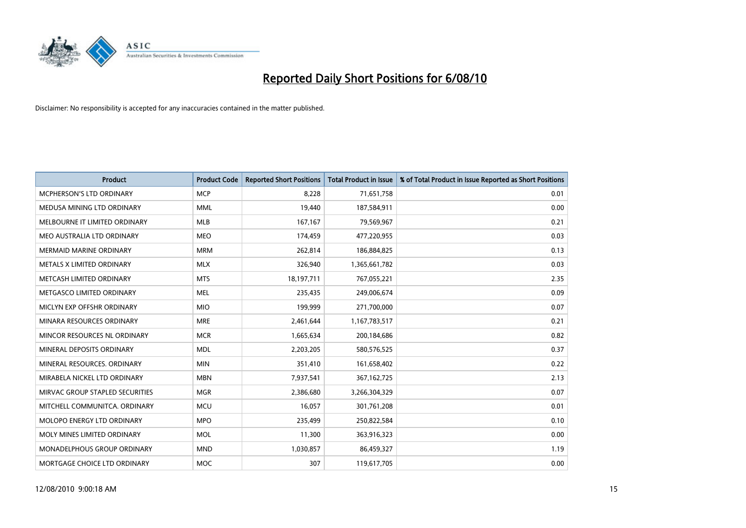

| <b>Product</b>                     | <b>Product Code</b> | <b>Reported Short Positions</b> | <b>Total Product in Issue</b> | % of Total Product in Issue Reported as Short Positions |
|------------------------------------|---------------------|---------------------------------|-------------------------------|---------------------------------------------------------|
| <b>MCPHERSON'S LTD ORDINARY</b>    | <b>MCP</b>          | 8,228                           | 71,651,758                    | 0.01                                                    |
| MEDUSA MINING LTD ORDINARY         | <b>MML</b>          | 19,440                          | 187,584,911                   | 0.00                                                    |
| MELBOURNE IT LIMITED ORDINARY      | <b>MLB</b>          | 167,167                         | 79,569,967                    | 0.21                                                    |
| MEO AUSTRALIA LTD ORDINARY         | <b>MEO</b>          | 174,459                         | 477,220,955                   | 0.03                                                    |
| <b>MERMAID MARINE ORDINARY</b>     | <b>MRM</b>          | 262,814                         | 186,884,825                   | 0.13                                                    |
| METALS X LIMITED ORDINARY          | <b>MLX</b>          | 326,940                         | 1,365,661,782                 | 0.03                                                    |
| METCASH LIMITED ORDINARY           | <b>MTS</b>          | 18,197,711                      | 767,055,221                   | 2.35                                                    |
| METGASCO LIMITED ORDINARY          | <b>MEL</b>          | 235,435                         | 249,006,674                   | 0.09                                                    |
| MICLYN EXP OFFSHR ORDINARY         | <b>MIO</b>          | 199,999                         | 271,700,000                   | 0.07                                                    |
| MINARA RESOURCES ORDINARY          | <b>MRE</b>          | 2,461,644                       | 1,167,783,517                 | 0.21                                                    |
| MINCOR RESOURCES NL ORDINARY       | <b>MCR</b>          | 1,665,634                       | 200,184,686                   | 0.82                                                    |
| MINERAL DEPOSITS ORDINARY          | <b>MDL</b>          | 2,203,205                       | 580,576,525                   | 0.37                                                    |
| MINERAL RESOURCES. ORDINARY        | <b>MIN</b>          | 351,410                         | 161,658,402                   | 0.22                                                    |
| MIRABELA NICKEL LTD ORDINARY       | <b>MBN</b>          | 7,937,541                       | 367, 162, 725                 | 2.13                                                    |
| MIRVAC GROUP STAPLED SECURITIES    | <b>MGR</b>          | 2,386,680                       | 3,266,304,329                 | 0.07                                                    |
| MITCHELL COMMUNITCA. ORDINARY      | <b>MCU</b>          | 16,057                          | 301,761,208                   | 0.01                                                    |
| MOLOPO ENERGY LTD ORDINARY         | <b>MPO</b>          | 235,499                         | 250,822,584                   | 0.10                                                    |
| MOLY MINES LIMITED ORDINARY        | <b>MOL</b>          | 11,300                          | 363,916,323                   | 0.00                                                    |
| <b>MONADELPHOUS GROUP ORDINARY</b> | <b>MND</b>          | 1,030,857                       | 86,459,327                    | 1.19                                                    |
| MORTGAGE CHOICE LTD ORDINARY       | <b>MOC</b>          | 307                             | 119,617,705                   | 0.00                                                    |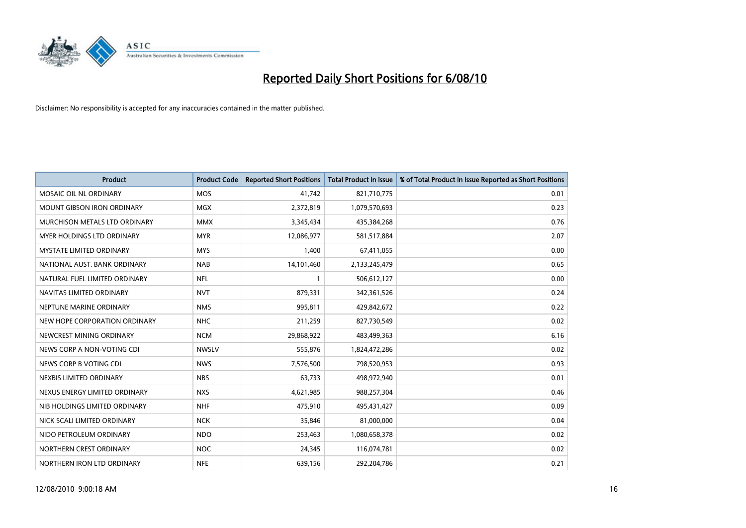

| <b>Product</b>                    | <b>Product Code</b> | <b>Reported Short Positions</b> | <b>Total Product in Issue</b> | % of Total Product in Issue Reported as Short Positions |
|-----------------------------------|---------------------|---------------------------------|-------------------------------|---------------------------------------------------------|
| MOSAIC OIL NL ORDINARY            | <b>MOS</b>          | 41,742                          | 821,710,775                   | 0.01                                                    |
| <b>MOUNT GIBSON IRON ORDINARY</b> | <b>MGX</b>          | 2,372,819                       | 1,079,570,693                 | 0.23                                                    |
| MURCHISON METALS LTD ORDINARY     | <b>MMX</b>          | 3,345,434                       | 435,384,268                   | 0.76                                                    |
| MYER HOLDINGS LTD ORDINARY        | <b>MYR</b>          | 12,086,977                      | 581,517,884                   | 2.07                                                    |
| <b>MYSTATE LIMITED ORDINARY</b>   | <b>MYS</b>          | 1,400                           | 67,411,055                    | 0.00                                                    |
| NATIONAL AUST. BANK ORDINARY      | <b>NAB</b>          | 14,101,460                      | 2,133,245,479                 | 0.65                                                    |
| NATURAL FUEL LIMITED ORDINARY     | <b>NFL</b>          |                                 | 506,612,127                   | 0.00                                                    |
| NAVITAS LIMITED ORDINARY          | <b>NVT</b>          | 879,331                         | 342,361,526                   | 0.24                                                    |
| NEPTUNE MARINE ORDINARY           | <b>NMS</b>          | 995,811                         | 429,842,672                   | 0.22                                                    |
| NEW HOPE CORPORATION ORDINARY     | <b>NHC</b>          | 211,259                         | 827,730,549                   | 0.02                                                    |
| NEWCREST MINING ORDINARY          | <b>NCM</b>          | 29,868,922                      | 483,499,363                   | 6.16                                                    |
| NEWS CORP A NON-VOTING CDI        | <b>NWSLV</b>        | 555,876                         | 1,824,472,286                 | 0.02                                                    |
| NEWS CORP B VOTING CDI            | <b>NWS</b>          | 7,576,500                       | 798,520,953                   | 0.93                                                    |
| NEXBIS LIMITED ORDINARY           | <b>NBS</b>          | 63,733                          | 498,972,940                   | 0.01                                                    |
| NEXUS ENERGY LIMITED ORDINARY     | <b>NXS</b>          | 4,621,985                       | 988,257,304                   | 0.46                                                    |
| NIB HOLDINGS LIMITED ORDINARY     | <b>NHF</b>          | 475,910                         | 495,431,427                   | 0.09                                                    |
| NICK SCALI LIMITED ORDINARY       | <b>NCK</b>          | 35,846                          | 81,000,000                    | 0.04                                                    |
| NIDO PETROLEUM ORDINARY           | <b>NDO</b>          | 253,463                         | 1,080,658,378                 | 0.02                                                    |
| NORTHERN CREST ORDINARY           | <b>NOC</b>          | 24,345                          | 116,074,781                   | 0.02                                                    |
| NORTHERN IRON LTD ORDINARY        | <b>NFE</b>          | 639,156                         | 292,204,786                   | 0.21                                                    |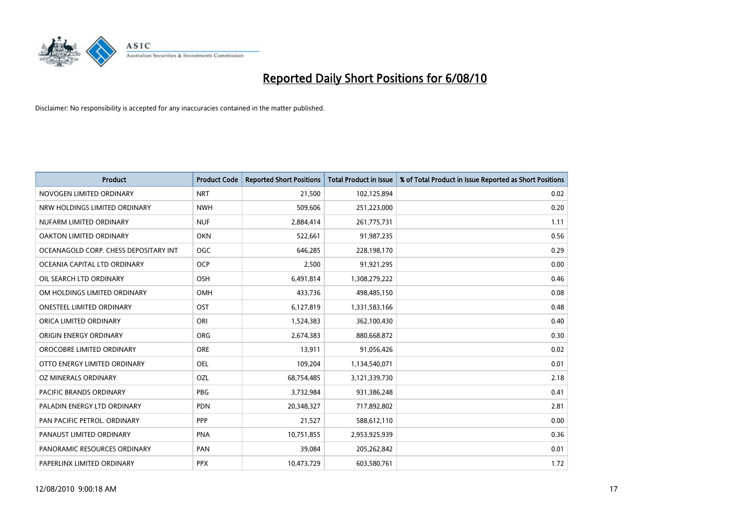

| <b>Product</b>                        | <b>Product Code</b> | <b>Reported Short Positions</b> | <b>Total Product in Issue</b> | % of Total Product in Issue Reported as Short Positions |
|---------------------------------------|---------------------|---------------------------------|-------------------------------|---------------------------------------------------------|
| NOVOGEN LIMITED ORDINARY              | <b>NRT</b>          | 21,500                          | 102,125,894                   | 0.02                                                    |
| NRW HOLDINGS LIMITED ORDINARY         | <b>NWH</b>          | 509,606                         | 251,223,000                   | 0.20                                                    |
| NUFARM LIMITED ORDINARY               | <b>NUF</b>          | 2,884,414                       | 261,775,731                   | 1.11                                                    |
| OAKTON LIMITED ORDINARY               | OKN                 | 522,661                         | 91,987,235                    | 0.56                                                    |
| OCEANAGOLD CORP. CHESS DEPOSITARY INT | <b>OGC</b>          | 646,285                         | 228,198,170                   | 0.29                                                    |
| OCEANIA CAPITAL LTD ORDINARY          | <b>OCP</b>          | 2,500                           | 91,921,295                    | 0.00                                                    |
| OIL SEARCH LTD ORDINARY               | OSH                 | 6,491,814                       | 1,308,279,222                 | 0.46                                                    |
| OM HOLDINGS LIMITED ORDINARY          | <b>OMH</b>          | 433,736                         | 498,485,150                   | 0.08                                                    |
| <b>ONESTEEL LIMITED ORDINARY</b>      | OST                 | 6,127,819                       | 1,331,583,166                 | 0.48                                                    |
| ORICA LIMITED ORDINARY                | ORI                 | 1,524,383                       | 362,100,430                   | 0.40                                                    |
| ORIGIN ENERGY ORDINARY                | <b>ORG</b>          | 2,674,383                       | 880,668,872                   | 0.30                                                    |
| OROCOBRE LIMITED ORDINARY             | <b>ORE</b>          | 13,911                          | 91,056,426                    | 0.02                                                    |
| OTTO ENERGY LIMITED ORDINARY          | <b>OEL</b>          | 109,204                         | 1,134,540,071                 | 0.01                                                    |
| OZ MINERALS ORDINARY                  | OZL                 | 68,754,485                      | 3,121,339,730                 | 2.18                                                    |
| <b>PACIFIC BRANDS ORDINARY</b>        | PBG                 | 3,732,984                       | 931,386,248                   | 0.41                                                    |
| PALADIN ENERGY LTD ORDINARY           | <b>PDN</b>          | 20,348,327                      | 717,892,802                   | 2.81                                                    |
| PAN PACIFIC PETROL. ORDINARY          | PPP                 | 21,527                          | 588,612,110                   | 0.00                                                    |
| PANAUST LIMITED ORDINARY              | <b>PNA</b>          | 10,751,855                      | 2,953,925,939                 | 0.36                                                    |
| PANORAMIC RESOURCES ORDINARY          | PAN                 | 39,084                          | 205,262,842                   | 0.01                                                    |
| PAPERLINX LIMITED ORDINARY            | <b>PPX</b>          | 10,473,729                      | 603,580,761                   | 1.72                                                    |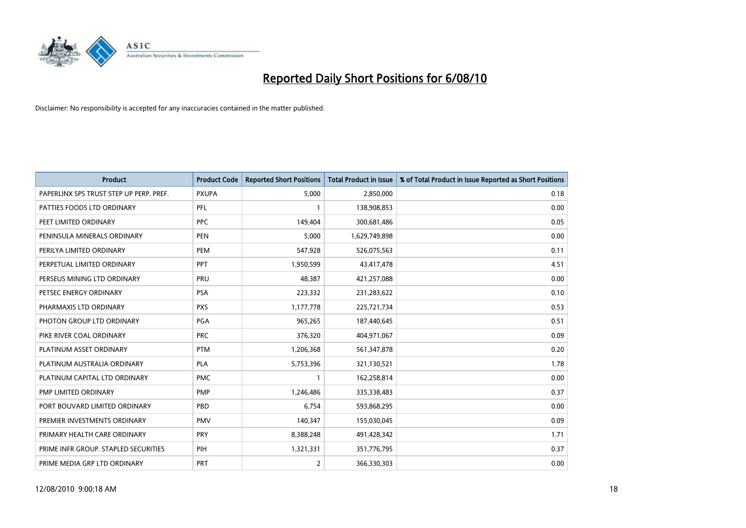

| <b>Product</b>                          | <b>Product Code</b> | <b>Reported Short Positions</b> | Total Product in Issue | % of Total Product in Issue Reported as Short Positions |
|-----------------------------------------|---------------------|---------------------------------|------------------------|---------------------------------------------------------|
| PAPERLINX SPS TRUST STEP UP PERP. PREF. | <b>PXUPA</b>        | 5,000                           | 2,850,000              | 0.18                                                    |
| PATTIES FOODS LTD ORDINARY              | PFL                 |                                 | 138,908,853            | 0.00                                                    |
| PEET LIMITED ORDINARY                   | <b>PPC</b>          | 149,404                         | 300,681,486            | 0.05                                                    |
| PENINSULA MINERALS ORDINARY             | <b>PEN</b>          | 5,000                           | 1,629,749,898          | 0.00                                                    |
| PERILYA LIMITED ORDINARY                | PEM                 | 547,928                         | 526,075,563            | 0.11                                                    |
| PERPETUAL LIMITED ORDINARY              | PPT                 | 1,950,599                       | 43,417,478             | 4.51                                                    |
| PERSEUS MINING LTD ORDINARY             | PRU                 | 48,387                          | 421,257,088            | 0.00                                                    |
| PETSEC ENERGY ORDINARY                  | <b>PSA</b>          | 223,332                         | 231,283,622            | 0.10                                                    |
| PHARMAXIS LTD ORDINARY                  | <b>PXS</b>          | 1,177,778                       | 225,721,734            | 0.53                                                    |
| PHOTON GROUP LTD ORDINARY               | PGA                 | 965,265                         | 187,440,645            | 0.51                                                    |
| PIKE RIVER COAL ORDINARY                | <b>PRC</b>          | 376,320                         | 404,971,067            | 0.09                                                    |
| PLATINUM ASSET ORDINARY                 | <b>PTM</b>          | 1,206,368                       | 561,347,878            | 0.20                                                    |
| PLATINUM AUSTRALIA ORDINARY             | <b>PLA</b>          | 5,753,396                       | 321,130,521            | 1.78                                                    |
| PLATINUM CAPITAL LTD ORDINARY           | <b>PMC</b>          |                                 | 162,258,814            | 0.00                                                    |
| PMP LIMITED ORDINARY                    | PMP                 | 1,246,486                       | 335,338,483            | 0.37                                                    |
| PORT BOUVARD LIMITED ORDINARY           | PBD                 | 6,754                           | 593,868,295            | 0.00                                                    |
| PREMIER INVESTMENTS ORDINARY            | <b>PMV</b>          | 140,347                         | 155,030,045            | 0.09                                                    |
| PRIMARY HEALTH CARE ORDINARY            | <b>PRY</b>          | 8,388,248                       | 491,428,342            | 1.71                                                    |
| PRIME INFR GROUP. STAPLED SECURITIES    | PIH                 | 1,321,331                       | 351,776,795            | 0.37                                                    |
| PRIME MEDIA GRP LTD ORDINARY            | <b>PRT</b>          | $\overline{2}$                  | 366,330,303            | 0.00                                                    |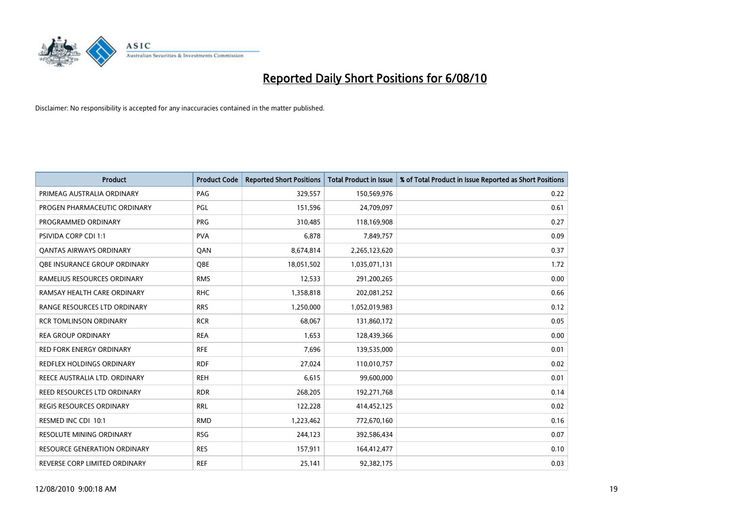

| <b>Product</b>                      | <b>Product Code</b> | <b>Reported Short Positions</b> | Total Product in Issue | % of Total Product in Issue Reported as Short Positions |
|-------------------------------------|---------------------|---------------------------------|------------------------|---------------------------------------------------------|
| PRIMEAG AUSTRALIA ORDINARY          | PAG                 | 329,557                         | 150,569,976            | 0.22                                                    |
| PROGEN PHARMACEUTIC ORDINARY        | PGL                 | 151,596                         | 24,709,097             | 0.61                                                    |
| PROGRAMMED ORDINARY                 | <b>PRG</b>          | 310,485                         | 118,169,908            | 0.27                                                    |
| PSIVIDA CORP CDI 1:1                | <b>PVA</b>          | 6,878                           | 7,849,757              | 0.09                                                    |
| <b>QANTAS AIRWAYS ORDINARY</b>      | QAN                 | 8,674,814                       | 2,265,123,620          | 0.37                                                    |
| OBE INSURANCE GROUP ORDINARY        | <b>QBE</b>          | 18,051,502                      | 1,035,071,131          | 1.72                                                    |
| RAMELIUS RESOURCES ORDINARY         | <b>RMS</b>          | 12,533                          | 291,200,265            | 0.00                                                    |
| RAMSAY HEALTH CARE ORDINARY         | <b>RHC</b>          | 1,358,818                       | 202,081,252            | 0.66                                                    |
| RANGE RESOURCES LTD ORDINARY        | <b>RRS</b>          | 1,250,000                       | 1,052,019,983          | 0.12                                                    |
| <b>RCR TOMLINSON ORDINARY</b>       | <b>RCR</b>          | 68,067                          | 131,860,172            | 0.05                                                    |
| <b>REA GROUP ORDINARY</b>           | <b>REA</b>          | 1,653                           | 128,439,366            | 0.00                                                    |
| <b>RED FORK ENERGY ORDINARY</b>     | <b>RFE</b>          | 7,696                           | 139,535,000            | 0.01                                                    |
| REDFLEX HOLDINGS ORDINARY           | <b>RDF</b>          | 27,024                          | 110,010,757            | 0.02                                                    |
| REECE AUSTRALIA LTD. ORDINARY       | <b>REH</b>          | 6,615                           | 99,600,000             | 0.01                                                    |
| <b>REED RESOURCES LTD ORDINARY</b>  | <b>RDR</b>          | 268,205                         | 192,271,768            | 0.14                                                    |
| <b>REGIS RESOURCES ORDINARY</b>     | <b>RRL</b>          | 122,228                         | 414,452,125            | 0.02                                                    |
| RESMED INC CDI 10:1                 | <b>RMD</b>          | 1,223,462                       | 772,670,160            | 0.16                                                    |
| RESOLUTE MINING ORDINARY            | <b>RSG</b>          | 244,123                         | 392,586,434            | 0.07                                                    |
| <b>RESOURCE GENERATION ORDINARY</b> | <b>RES</b>          | 157,911                         | 164,412,477            | 0.10                                                    |
| REVERSE CORP LIMITED ORDINARY       | <b>REF</b>          | 25,141                          | 92,382,175             | 0.03                                                    |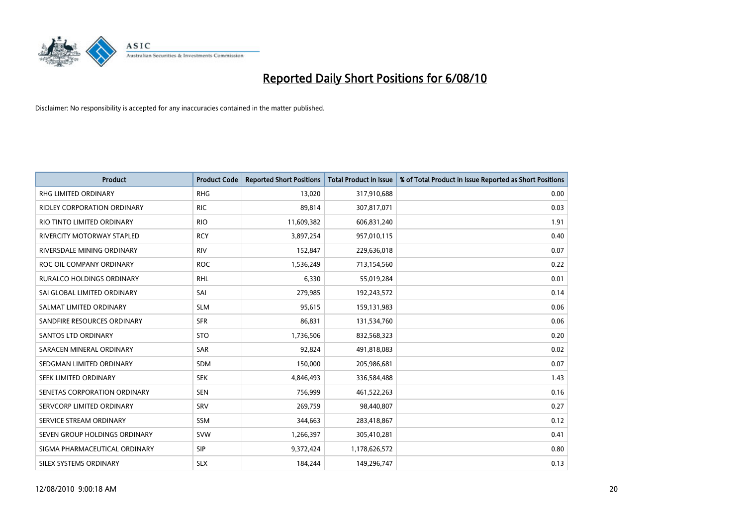

| <b>Product</b>                    | <b>Product Code</b> | <b>Reported Short Positions</b> | Total Product in Issue | % of Total Product in Issue Reported as Short Positions |
|-----------------------------------|---------------------|---------------------------------|------------------------|---------------------------------------------------------|
| <b>RHG LIMITED ORDINARY</b>       | <b>RHG</b>          | 13,020                          | 317,910,688            | 0.00                                                    |
| RIDLEY CORPORATION ORDINARY       | <b>RIC</b>          | 89,814                          | 307,817,071            | 0.03                                                    |
| RIO TINTO LIMITED ORDINARY        | <b>RIO</b>          | 11,609,382                      | 606,831,240            | 1.91                                                    |
| <b>RIVERCITY MOTORWAY STAPLED</b> | <b>RCY</b>          | 3,897,254                       | 957,010,115            | 0.40                                                    |
| RIVERSDALE MINING ORDINARY        | <b>RIV</b>          | 152,847                         | 229,636,018            | 0.07                                                    |
| ROC OIL COMPANY ORDINARY          | <b>ROC</b>          | 1,536,249                       | 713,154,560            | 0.22                                                    |
| <b>RURALCO HOLDINGS ORDINARY</b>  | <b>RHL</b>          | 6,330                           | 55,019,284             | 0.01                                                    |
| SAI GLOBAL LIMITED ORDINARY       | SAI                 | 279,985                         | 192,243,572            | 0.14                                                    |
| SALMAT LIMITED ORDINARY           | <b>SLM</b>          | 95,615                          | 159,131,983            | 0.06                                                    |
| SANDFIRE RESOURCES ORDINARY       | <b>SFR</b>          | 86,831                          | 131,534,760            | 0.06                                                    |
| <b>SANTOS LTD ORDINARY</b>        | <b>STO</b>          | 1,736,506                       | 832,568,323            | 0.20                                                    |
| SARACEN MINERAL ORDINARY          | <b>SAR</b>          | 92,824                          | 491,818,083            | 0.02                                                    |
| SEDGMAN LIMITED ORDINARY          | <b>SDM</b>          | 150,000                         | 205,986,681            | 0.07                                                    |
| SEEK LIMITED ORDINARY             | <b>SEK</b>          | 4,846,493                       | 336,584,488            | 1.43                                                    |
| SENETAS CORPORATION ORDINARY      | <b>SEN</b>          | 756,999                         | 461,522,263            | 0.16                                                    |
| SERVCORP LIMITED ORDINARY         | SRV                 | 269,759                         | 98,440,807             | 0.27                                                    |
| SERVICE STREAM ORDINARY           | <b>SSM</b>          | 344,663                         | 283,418,867            | 0.12                                                    |
| SEVEN GROUP HOLDINGS ORDINARY     | <b>SVW</b>          | 1,266,397                       | 305,410,281            | 0.41                                                    |
| SIGMA PHARMACEUTICAL ORDINARY     | <b>SIP</b>          | 9,372,424                       | 1,178,626,572          | 0.80                                                    |
| SILEX SYSTEMS ORDINARY            | <b>SLX</b>          | 184,244                         | 149,296,747            | 0.13                                                    |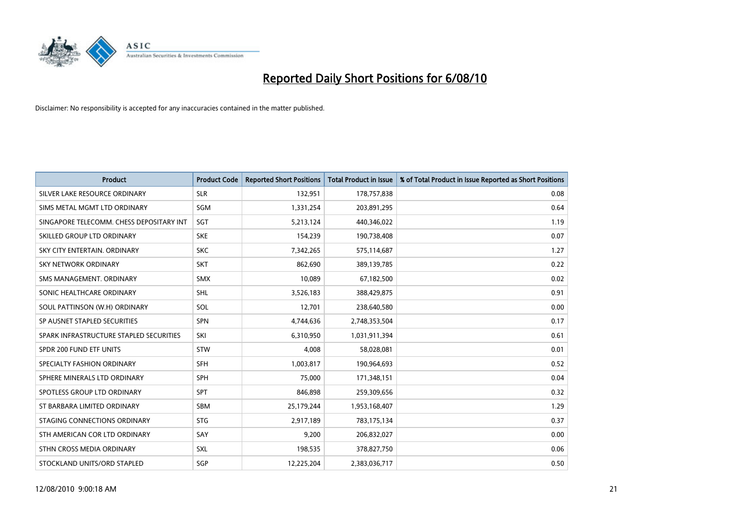

| <b>Product</b>                           | <b>Product Code</b> | <b>Reported Short Positions</b> | <b>Total Product in Issue</b> | % of Total Product in Issue Reported as Short Positions |
|------------------------------------------|---------------------|---------------------------------|-------------------------------|---------------------------------------------------------|
| SILVER LAKE RESOURCE ORDINARY            | <b>SLR</b>          | 132,951                         | 178,757,838                   | 0.08                                                    |
| SIMS METAL MGMT LTD ORDINARY             | <b>SGM</b>          | 1,331,254                       | 203,891,295                   | 0.64                                                    |
| SINGAPORE TELECOMM. CHESS DEPOSITARY INT | SGT                 | 5,213,124                       | 440,346,022                   | 1.19                                                    |
| SKILLED GROUP LTD ORDINARY               | <b>SKE</b>          | 154,239                         | 190,738,408                   | 0.07                                                    |
| SKY CITY ENTERTAIN, ORDINARY             | <b>SKC</b>          | 7,342,265                       | 575,114,687                   | 1.27                                                    |
| SKY NETWORK ORDINARY                     | <b>SKT</b>          | 862,690                         | 389,139,785                   | 0.22                                                    |
| SMS MANAGEMENT, ORDINARY                 | <b>SMX</b>          | 10.089                          | 67,182,500                    | 0.02                                                    |
| SONIC HEALTHCARE ORDINARY                | <b>SHL</b>          | 3,526,183                       | 388,429,875                   | 0.91                                                    |
| SOUL PATTINSON (W.H) ORDINARY            | SOL                 | 12,701                          | 238,640,580                   | 0.00                                                    |
| SP AUSNET STAPLED SECURITIES             | <b>SPN</b>          | 4,744,636                       | 2,748,353,504                 | 0.17                                                    |
| SPARK INFRASTRUCTURE STAPLED SECURITIES  | SKI                 | 6,310,950                       | 1,031,911,394                 | 0.61                                                    |
| SPDR 200 FUND ETF UNITS                  | <b>STW</b>          | 4,008                           | 58,028,081                    | 0.01                                                    |
| SPECIALTY FASHION ORDINARY               | <b>SFH</b>          | 1,003,817                       | 190,964,693                   | 0.52                                                    |
| SPHERE MINERALS LTD ORDINARY             | <b>SPH</b>          | 75,000                          | 171,348,151                   | 0.04                                                    |
| SPOTLESS GROUP LTD ORDINARY              | <b>SPT</b>          | 846.898                         | 259,309,656                   | 0.32                                                    |
| ST BARBARA LIMITED ORDINARY              | SBM                 | 25,179,244                      | 1,953,168,407                 | 1.29                                                    |
| STAGING CONNECTIONS ORDINARY             | <b>STG</b>          | 2,917,189                       | 783,175,134                   | 0.37                                                    |
| STH AMERICAN COR LTD ORDINARY            | SAY                 | 9,200                           | 206,832,027                   | 0.00                                                    |
| STHN CROSS MEDIA ORDINARY                | <b>SXL</b>          | 198,535                         | 378,827,750                   | 0.06                                                    |
| STOCKLAND UNITS/ORD STAPLED              | SGP                 | 12.225.204                      | 2,383,036,717                 | 0.50                                                    |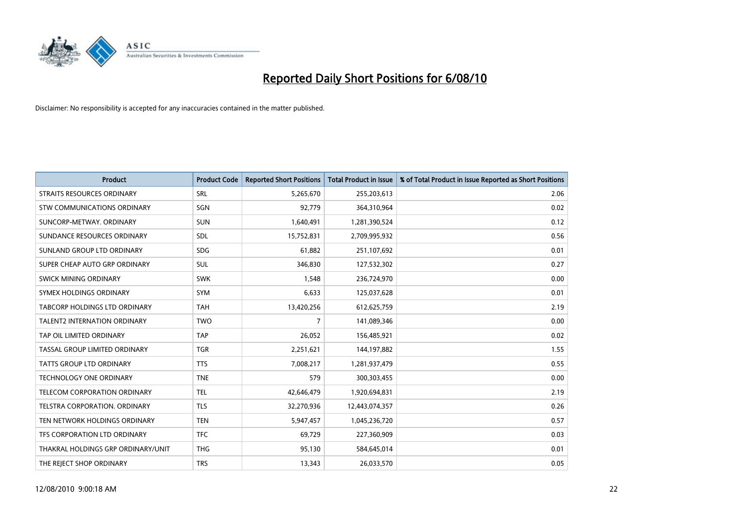

| <b>Product</b>                      | <b>Product Code</b> | <b>Reported Short Positions</b> | <b>Total Product in Issue</b> | % of Total Product in Issue Reported as Short Positions |
|-------------------------------------|---------------------|---------------------------------|-------------------------------|---------------------------------------------------------|
| STRAITS RESOURCES ORDINARY          | <b>SRL</b>          | 5,265,670                       | 255,203,613                   | 2.06                                                    |
| STW COMMUNICATIONS ORDINARY         | SGN                 | 92,779                          | 364,310,964                   | 0.02                                                    |
| SUNCORP-METWAY, ORDINARY            | <b>SUN</b>          | 1,640,491                       | 1,281,390,524                 | 0.12                                                    |
| SUNDANCE RESOURCES ORDINARY         | <b>SDL</b>          | 15,752,831                      | 2,709,995,932                 | 0.56                                                    |
| SUNLAND GROUP LTD ORDINARY          | <b>SDG</b>          | 61,882                          | 251,107,692                   | 0.01                                                    |
| SUPER CHEAP AUTO GRP ORDINARY       | <b>SUL</b>          | 346,830                         | 127,532,302                   | 0.27                                                    |
| SWICK MINING ORDINARY               | <b>SWK</b>          | 1,548                           | 236,724,970                   | 0.00                                                    |
| SYMEX HOLDINGS ORDINARY             | <b>SYM</b>          | 6,633                           | 125,037,628                   | 0.01                                                    |
| TABCORP HOLDINGS LTD ORDINARY       | <b>TAH</b>          | 13,420,256                      | 612,625,759                   | 2.19                                                    |
| <b>TALENT2 INTERNATION ORDINARY</b> | <b>TWO</b>          | $\overline{7}$                  | 141,089,346                   | 0.00                                                    |
| TAP OIL LIMITED ORDINARY            | <b>TAP</b>          | 26,052                          | 156,485,921                   | 0.02                                                    |
| TASSAL GROUP LIMITED ORDINARY       | <b>TGR</b>          | 2,251,621                       | 144,197,882                   | 1.55                                                    |
| TATTS GROUP LTD ORDINARY            | <b>TTS</b>          | 7,008,217                       | 1,281,937,479                 | 0.55                                                    |
| <b>TECHNOLOGY ONE ORDINARY</b>      | <b>TNE</b>          | 579                             | 300,303,455                   | 0.00                                                    |
| TELECOM CORPORATION ORDINARY        | <b>TEL</b>          | 42,646,479                      | 1,920,694,831                 | 2.19                                                    |
| TELSTRA CORPORATION. ORDINARY       | <b>TLS</b>          | 32,270,936                      | 12,443,074,357                | 0.26                                                    |
| TEN NETWORK HOLDINGS ORDINARY       | <b>TEN</b>          | 5,947,457                       | 1,045,236,720                 | 0.57                                                    |
| TFS CORPORATION LTD ORDINARY        | <b>TFC</b>          | 69,729                          | 227,360,909                   | 0.03                                                    |
| THAKRAL HOLDINGS GRP ORDINARY/UNIT  | <b>THG</b>          | 95,130                          | 584,645,014                   | 0.01                                                    |
| THE REJECT SHOP ORDINARY            | <b>TRS</b>          | 13,343                          | 26,033,570                    | 0.05                                                    |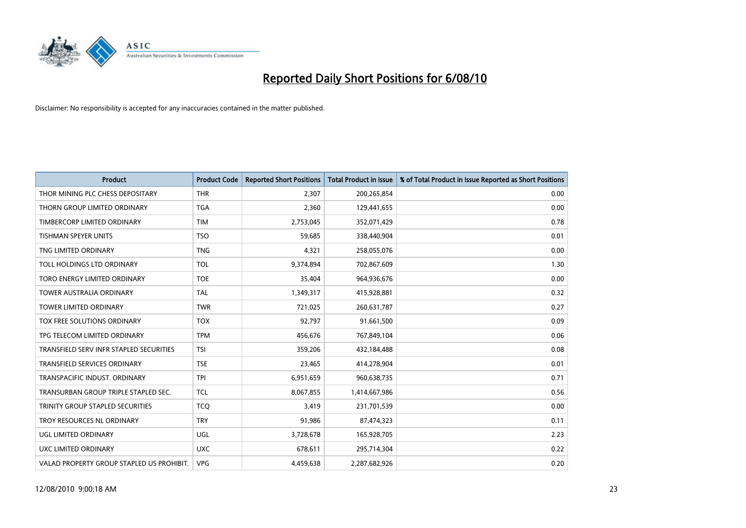

| <b>Product</b>                            | <b>Product Code</b> | <b>Reported Short Positions</b> | Total Product in Issue | % of Total Product in Issue Reported as Short Positions |
|-------------------------------------------|---------------------|---------------------------------|------------------------|---------------------------------------------------------|
| THOR MINING PLC CHESS DEPOSITARY          | <b>THR</b>          | 2,307                           | 200,265,854            | 0.00                                                    |
| THORN GROUP LIMITED ORDINARY              | <b>TGA</b>          | 2,360                           | 129,441,655            | 0.00                                                    |
| TIMBERCORP LIMITED ORDINARY               | <b>TIM</b>          | 2,753,045                       | 352,071,429            | 0.78                                                    |
| TISHMAN SPEYER UNITS                      | <b>TSO</b>          | 59,685                          | 338,440,904            | 0.01                                                    |
| TNG LIMITED ORDINARY                      | <b>TNG</b>          | 4,321                           | 258,055,076            | 0.00                                                    |
| TOLL HOLDINGS LTD ORDINARY                | <b>TOL</b>          | 9,374,894                       | 702,867,609            | 1.30                                                    |
| TORO ENERGY LIMITED ORDINARY              | <b>TOE</b>          | 35,404                          | 964,936,676            | 0.00                                                    |
| <b>TOWER AUSTRALIA ORDINARY</b>           | <b>TAL</b>          | 1,349,317                       | 415,928,881            | 0.32                                                    |
| TOWER LIMITED ORDINARY                    | <b>TWR</b>          | 721,025                         | 260,631,787            | 0.27                                                    |
| TOX FREE SOLUTIONS ORDINARY               | <b>TOX</b>          | 92,797                          | 91,661,500             | 0.09                                                    |
| TPG TELECOM LIMITED ORDINARY              | <b>TPM</b>          | 456,676                         | 767,849,104            | 0.06                                                    |
| TRANSFIELD SERV INFR STAPLED SECURITIES   | <b>TSI</b>          | 359,206                         | 432,184,488            | 0.08                                                    |
| TRANSFIELD SERVICES ORDINARY              | <b>TSE</b>          | 23,465                          | 414,278,904            | 0.01                                                    |
| TRANSPACIFIC INDUST, ORDINARY             | <b>TPI</b>          | 6,951,659                       | 960,638,735            | 0.71                                                    |
| TRANSURBAN GROUP TRIPLE STAPLED SEC.      | <b>TCL</b>          | 8,067,855                       | 1,414,667,986          | 0.56                                                    |
| TRINITY GROUP STAPLED SECURITIES          | <b>TCO</b>          | 3,419                           | 231,701,539            | 0.00                                                    |
| TROY RESOURCES NL ORDINARY                | <b>TRY</b>          | 91,986                          | 87,474,323             | 0.11                                                    |
| UGL LIMITED ORDINARY                      | UGL                 | 3,728,678                       | 165,928,705            | 2.23                                                    |
| UXC LIMITED ORDINARY                      | <b>UXC</b>          | 678,611                         | 295,714,304            | 0.22                                                    |
| VALAD PROPERTY GROUP STAPLED US PROHIBIT. | <b>VPG</b>          | 4,459,638                       | 2,287,682,926          | 0.20                                                    |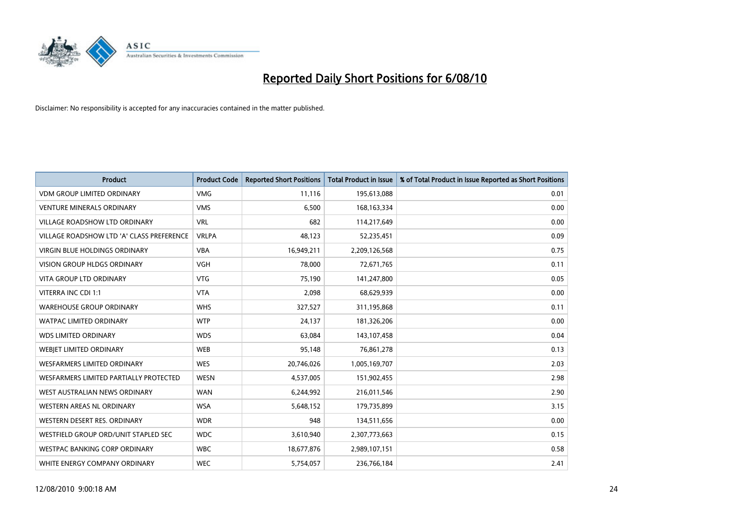

| <b>Product</b>                            | <b>Product Code</b> | <b>Reported Short Positions</b> | <b>Total Product in Issue</b> | % of Total Product in Issue Reported as Short Positions |
|-------------------------------------------|---------------------|---------------------------------|-------------------------------|---------------------------------------------------------|
| <b>VDM GROUP LIMITED ORDINARY</b>         | <b>VMG</b>          | 11,116                          | 195,613,088                   | 0.01                                                    |
| <b>VENTURE MINERALS ORDINARY</b>          | <b>VMS</b>          | 6,500                           | 168, 163, 334                 | 0.00                                                    |
| <b>VILLAGE ROADSHOW LTD ORDINARY</b>      | <b>VRL</b>          | 682                             | 114,217,649                   | 0.00                                                    |
| VILLAGE ROADSHOW LTD 'A' CLASS PREFERENCE | <b>VRLPA</b>        | 48,123                          | 52,235,451                    | 0.09                                                    |
| <b>VIRGIN BLUE HOLDINGS ORDINARY</b>      | <b>VBA</b>          | 16,949,211                      | 2,209,126,568                 | 0.75                                                    |
| <b>VISION GROUP HLDGS ORDINARY</b>        | <b>VGH</b>          | 78,000                          | 72,671,765                    | 0.11                                                    |
| <b>VITA GROUP LTD ORDINARY</b>            | <b>VTG</b>          | 75.190                          | 141,247,800                   | 0.05                                                    |
| VITERRA INC CDI 1:1                       | <b>VTA</b>          | 2,098                           | 68,629,939                    | 0.00                                                    |
| <b>WAREHOUSE GROUP ORDINARY</b>           | <b>WHS</b>          | 327,527                         | 311,195,868                   | 0.11                                                    |
| <b>WATPAC LIMITED ORDINARY</b>            | <b>WTP</b>          | 24,137                          | 181,326,206                   | 0.00                                                    |
| <b>WDS LIMITED ORDINARY</b>               | <b>WDS</b>          | 63,084                          | 143,107,458                   | 0.04                                                    |
| WEBIET LIMITED ORDINARY                   | <b>WEB</b>          | 95,148                          | 76,861,278                    | 0.13                                                    |
| <b>WESFARMERS LIMITED ORDINARY</b>        | <b>WES</b>          | 20,746,026                      | 1,005,169,707                 | 2.03                                                    |
| WESFARMERS LIMITED PARTIALLY PROTECTED    | <b>WESN</b>         | 4,537,005                       | 151,902,455                   | 2.98                                                    |
| WEST AUSTRALIAN NEWS ORDINARY             | <b>WAN</b>          | 6,244,992                       | 216,011,546                   | 2.90                                                    |
| WESTERN AREAS NL ORDINARY                 | <b>WSA</b>          | 5,648,152                       | 179,735,899                   | 3.15                                                    |
| WESTERN DESERT RES. ORDINARY              | <b>WDR</b>          | 948                             | 134,511,656                   | 0.00                                                    |
| WESTFIELD GROUP ORD/UNIT STAPLED SEC      | <b>WDC</b>          | 3,610,940                       | 2,307,773,663                 | 0.15                                                    |
| <b>WESTPAC BANKING CORP ORDINARY</b>      | <b>WBC</b>          | 18,677,876                      | 2,989,107,151                 | 0.58                                                    |
| WHITE ENERGY COMPANY ORDINARY             | <b>WEC</b>          | 5,754,057                       | 236,766,184                   | 2.41                                                    |